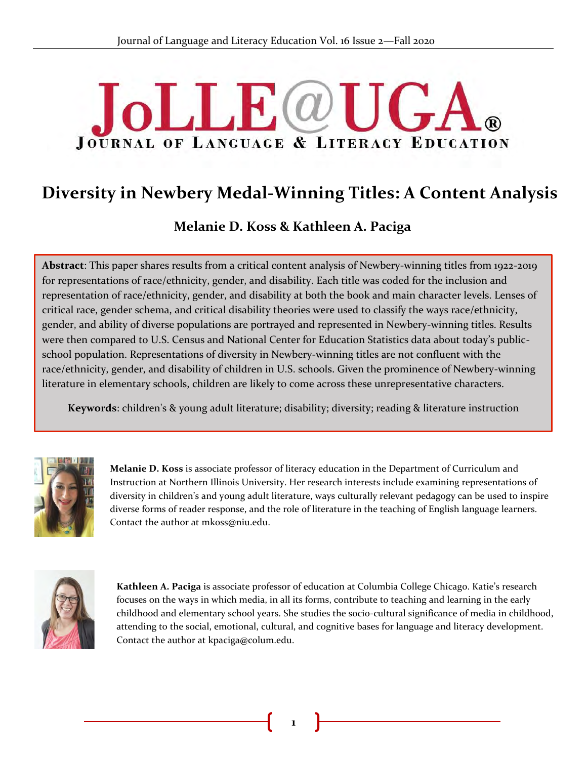# **JoLLE**@U **JOURNAL OF LANGUAGE & LITERACY EDUCATION**

## **Diversity in Newbery Medal-Winning Titles: A Content Analysis**

**Melanie D. Koss & Kathleen A. Paciga**

**Abstract**: This paper shares results from a critical content analysis of Newbery-winning titles from 1922-2019 for representations of race/ethnicity, gender, and disability. Each title was coded for the inclusion and representation of race/ethnicity, gender, and disability at both the book and main character levels. Lenses of & critical race, gender schema, and critical disability theories were used to classify the ways race/ethnicity, gender, and ability of diverse populations are portrayed and represented in Newbery-winning titles. Results were then compared to U.S. Census and National Center for Education Statistics data about today's publicschool population. Representations of diversity in Newbery-winning titles are not confluent with the race/ethnicity, gender, and disability of children in U.S. schools. Given the prominence of Newbery-winning literature in elementary schools, children are likely to come across these unrepresentative characters.

**Keywords**: children's & young adult literature; disability; diversity; reading & literature instruction



**Melanie D. Koss** is associate professor of literacy education in the Department of Curriculum and Instruction at Northern Illinois University. Her research interests include examining representations of diversity in children's and young adult literature, ways culturally relevant pedagogy can be used to inspire diverse forms of reader response, and the role of literature in the teaching of English language learners. Contact the author at mkoss@niu.edu.



**Kathleen A. Paciga** is associate professor of education at Columbia College Chicago. Katie's research focuses on the ways in which media, in all its forms, contribute to teaching and learning in the early childhood and elementary school years. She studies the socio-cultural significance of media in childhood, attending to the social, emotional, cultural, and cognitive bases for language and literacy development. Contact the author at kpaciga@colum.edu.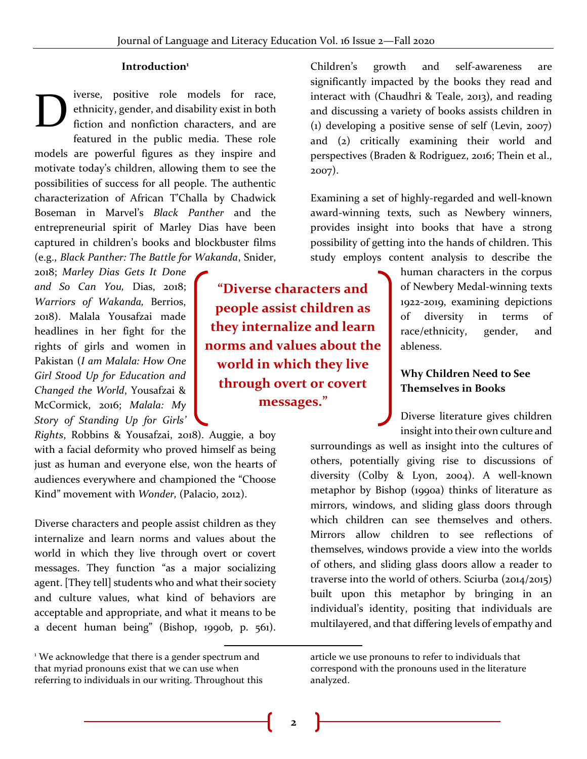#### **Introduction<sup>1</sup>**

iverse, positive role models for race, ethnicity, gender, and disability exist in both fiction and nonfiction characters, and are featured in the public media. These role models are powerful figures as they inspire and motivate today's children, allowing them to see the possibilities of success for all people. The authentic characterization of African T'Challa by Chadwick Boseman in Marvel's *Black Panther* and the entrepreneurial spirit of Marley Dias have been captured in children's books and blockbuster films (e.g., *Black Panther: The Battle for Wakanda*, Snider, D

2018; *Marley Dias Gets It Done and So Can You,* Dias, 2018; *Warriors of Wakanda,* Berrios, 2018). Malala Yousafzai made headlines in her fight for the rights of girls and women in Pakistan (*I am Malala: How One Girl Stood Up for Education and Changed the World*, Yousafzai & McCormick, 2016; *Malala: My Story of Standing Up for Girls'* 

*Rights*, Robbins & Yousafzai, 2018). Auggie, a boy with a facial deformity who proved himself as being just as human and everyone else, won the hearts of audiences everywhere and championed the "Choose Kind" movement with *Wonder,* (Palacio, 2012).

Diverse characters and people assist children as they internalize and learn norms and values about the world in which they live through overt or covert messages. They function "as a major socializing agent. [They tell] students who and what their society and culture values, what kind of behaviors are acceptable and appropriate, and what it means to be a decent human being" (Bishop, 1990b, p. 561).

**"Diverse characters and people assist children as they internalize and learn norms and values about the world in which they live through overt or covert messages."**

Children's growth and self-awareness are significantly impacted by the books they read and interact with (Chaudhri & Teale, 2013), and reading and discussing a variety of books assists children in (1) developing a positive sense of self (Levin, 2007) and (2) critically examining their world and perspectives (Braden & Rodriguez, 2016; Thein et al., 2007).

Examining a set of highly-regarded and well-known award-winning texts, such as Newbery winners, provides insight into books that have a strong possibility of getting into the hands of children. This study employs content analysis to describe the

> human characters in the corpus of Newbery Medal-winning texts 1922-2019, examining depictions of diversity in terms of race/ethnicity, gender, and ableness.

#### **Why Children Need to See Themselves in Books**

Diverse literature gives children insight into their own culture and

surroundings as well as insight into the cultures of others, potentially giving rise to discussions of diversity (Colby & Lyon, 2004). A well-known metaphor by Bishop (1990a) thinks of literature as mirrors, windows, and sliding glass doors through which children can see themselves and others. Mirrors allow children to see reflections of themselves, windows provide a view into the worlds of others, and sliding glass doors allow a reader to traverse into the world of others. Sciurba (2014/2015) built upon this metaphor by bringing in an individual's identity, positing that individuals are multilayered, and that differing levels of empathy and

<sup>&</sup>lt;sup>1</sup> We acknowledge that there is a gender spectrum and that myriad pronouns exist that we can use when referring to individuals in our writing. Throughout this

article we use pronouns to refer to individuals that correspond with the pronouns used in the literature analyzed.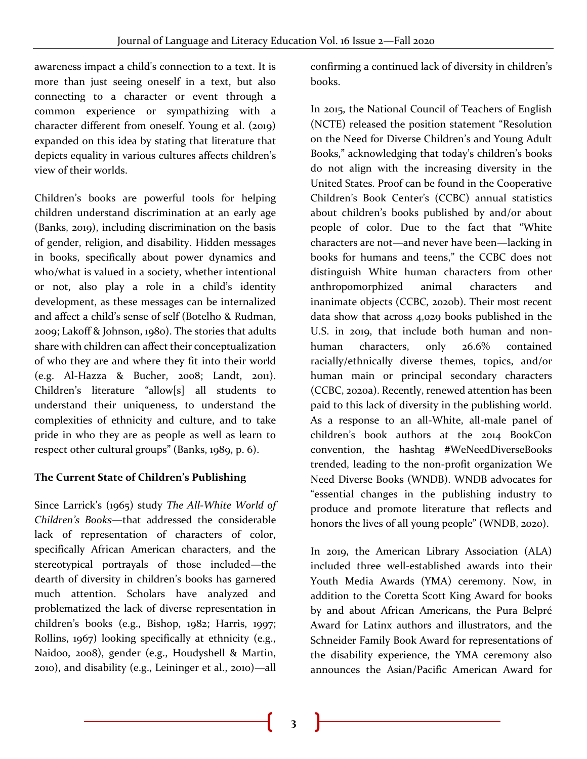awareness impact a child's connection to a text. It is more than just seeing oneself in a text, but also connecting to a character or event through a common experience or sympathizing with a character different from oneself. Young et al. (2019) expanded on this idea by stating that literature that depicts equality in various cultures affects children's view of their worlds.

Children's books are powerful tools for helping children understand discrimination at an early age (Banks, 2019), including discrimination on the basis of gender, religion, and disability. Hidden messages in books, specifically about power dynamics and who/what is valued in a society, whether intentional or not, also play a role in a child's identity development, as these messages can be internalized and affect a child's sense of self (Botelho & Rudman, 2009; Lakoff & Johnson, 1980). The stories that adults share with children can affect their conceptualization of who they are and where they fit into their world (e.g. Al-Hazza & Bucher, 2008; Landt, 2011). Children's literature "allow[s] all students to understand their uniqueness, to understand the complexities of ethnicity and culture, and to take pride in who they are as people as well as learn to respect other cultural groups" (Banks, 1989, p. 6).

## **The Current State of Children's Publishing**

Since Larrick's (1965) study *The All-White World of Children's Books*—that addressed the considerable lack of representation of characters of color, specifically African American characters, and the stereotypical portrayals of those included—the dearth of diversity in children's books has garnered much attention. Scholars have analyzed and problematized the lack of diverse representation in children's books (e.g., Bishop, 1982; Harris, 1997; Rollins, 1967) looking specifically at ethnicity (e.g., Naidoo, 2008), gender (e.g., Houdyshell & Martin, 2010), and disability (e.g., Leininger et al., 2010)—all

confirming a continued lack of diversity in children's books.

In 2015, the National Council of Teachers of English (NCTE) released the position statement "Resolution on the Need for Diverse Children's and Young Adult Books," acknowledging that today's children's books do not align with the increasing diversity in the United States. Proof can be found in the Cooperative Children's Book Center's (CCBC) annual statistics about children's books published by and/or about people of color. Due to the fact that "White characters are not—and never have been—lacking in books for humans and teens," the CCBC does not distinguish White human characters from other anthropomorphized animal characters and inanimate objects (CCBC, 2020b). Their most recent data show that across 4,029 books published in the U.S. in 2019, that include both human and nonhuman characters, only 26.6% contained racially/ethnically diverse themes, topics, and/or human main or principal secondary characters (CCBC, 2020a). Recently, renewed attention has been paid to this lack of diversity in the publishing world. As a response to an all-White, all-male panel of children's book authors at the 2014 BookCon convention, the hashtag #WeNeedDiverseBooks trended, leading to the non-profit organization We Need Diverse Books (WNDB). WNDB advocates for "essential changes in the publishing industry to produce and promote literature that reflects and honors the lives of all young people" (WNDB, 2020).

In 2019, the American Library Association (ALA) included three well-established awards into their Youth Media Awards (YMA) ceremony. Now, in addition to the Coretta Scott King Award for books by and about African Americans, the Pura Belpré Award for Latinx authors and illustrators, and the Schneider Family Book Award for representations of the disability experience, the YMA ceremony also announces the Asian/Pacific American Award for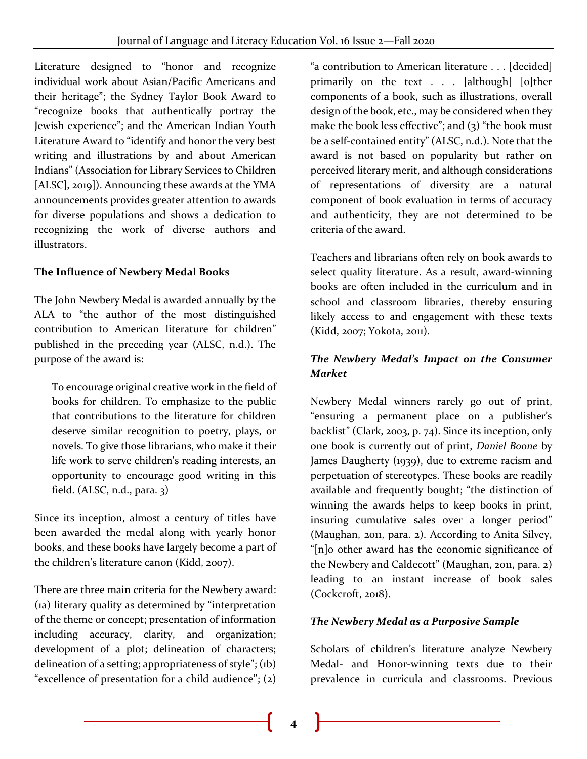Literature designed to "honor and recognize individual work about Asian/Pacific Americans and their heritage"; the Sydney Taylor Book Award to "recognize books that authentically portray the Jewish experience"; and the American Indian Youth Literature Award to "identify and honor the very best writing and illustrations by and about American Indians" (Association for Library Services to Children [ALSC], 2019]). Announcing these awards at the YMA announcements provides greater attention to awards for diverse populations and shows a dedication to recognizing the work of diverse authors and illustrators.

## **The Influence of Newbery Medal Books**

The John Newbery Medal is awarded annually by the ALA to "the author of the most distinguished contribution to American literature for children" published in the preceding year (ALSC, n.d.). The purpose of the award is:

To encourage original creative work in the field of books for children. To emphasize to the public that contributions to the literature for children deserve similar recognition to poetry, plays, or novels. To give those librarians, who make it their life work to serve children's reading interests, an opportunity to encourage good writing in this field. (ALSC, n.d., para. 3)

Since its inception, almost a century of titles have been awarded the medal along with yearly honor books, and these books have largely become a part of the children's literature canon (Kidd, 2007).

There are three main criteria for the Newbery award: (1a) literary quality as determined by "interpretation of the theme or concept; presentation of information including accuracy, clarity, and organization; development of a plot; delineation of characters; delineation of a setting; appropriateness of style"; (1b) "excellence of presentation for a child audience"; (2)

"a contribution to American literature . . . [decided] primarily on the text . . . [although] [o]ther components of a book, such as illustrations, overall design of the book, etc., may be considered when they make the book less effective"; and  $(3)$  "the book must be a self-contained entity" (ALSC, n.d.). Note that the award is not based on popularity but rather on perceived literary merit, and although considerations of representations of diversity are a natural component of book evaluation in terms of accuracy and authenticity, they are not determined to be criteria of the award.

Teachers and librarians often rely on book awards to select quality literature. As a result, award-winning books are often included in the curriculum and in school and classroom libraries, thereby ensuring likely access to and engagement with these texts (Kidd, 2007; Yokota, 2011).

## *The Newbery Medal's Impact on the Consumer Market*

Newbery Medal winners rarely go out of print, "ensuring a permanent place on a publisher's backlist" (Clark, 2003, p. 74). Since its inception, only one book is currently out of print, *Daniel Boone* by James Daugherty (1939), due to extreme racism and perpetuation of stereotypes. These books are readily available and frequently bought; "the distinction of winning the awards helps to keep books in print, insuring cumulative sales over a longer period" (Maughan, 2011, para. 2). According to Anita Silvey, "[n]o other award has the economic significance of the Newbery and Caldecott" (Maughan, 2011, para. 2) leading to an instant increase of book sales (Cockcroft, 2018).

#### *The Newbery Medal as a Purposive Sample*

Scholars of children's literature analyze Newbery Medal- and Honor-winning texts due to their prevalence in curricula and classrooms. Previous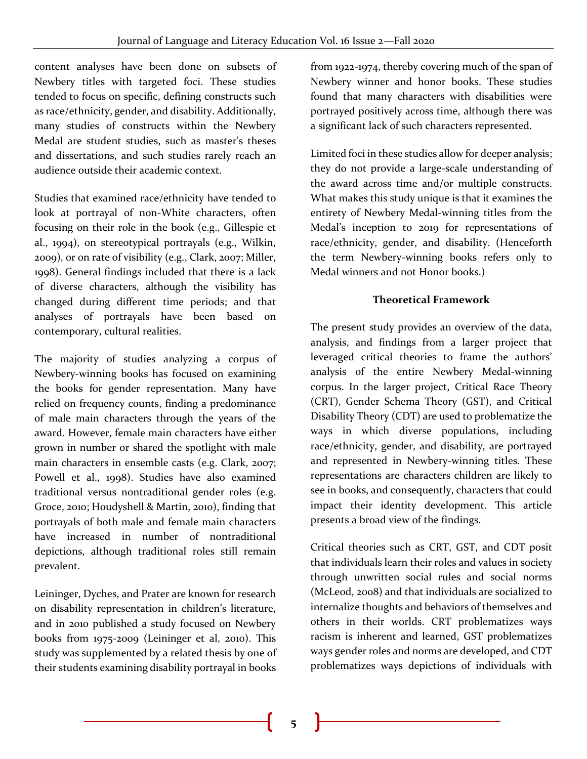content analyses have been done on subsets of Newbery titles with targeted foci. These studies tended to focus on specific, defining constructs such as race/ethnicity, gender, and disability. Additionally, many studies of constructs within the Newbery Medal are student studies, such as master's theses and dissertations, and such studies rarely reach an audience outside their academic context.

Studies that examined race/ethnicity have tended to look at portrayal of non-White characters, often focusing on their role in the book (e.g., Gillespie et al., 1994), on stereotypical portrayals (e.g., Wilkin, 2009), or on rate of visibility (e.g., Clark, 2007; Miller, 1998). General findings included that there is a lack of diverse characters, although the visibility has changed during different time periods; and that analyses of portrayals have been based on contemporary, cultural realities.

The majority of studies analyzing a corpus of Newbery-winning books has focused on examining the books for gender representation. Many have relied on frequency counts, finding a predominance of male main characters through the years of the award. However, female main characters have either grown in number or shared the spotlight with male main characters in ensemble casts (e.g. Clark, 2007; Powell et al., 1998). Studies have also examined traditional versus nontraditional gender roles (e.g. Groce, 2010; Houdyshell & Martin, 2010), finding that portrayals of both male and female main characters have increased in number of nontraditional depictions, although traditional roles still remain prevalent.

Leininger, Dyches, and Prater are known for research on disability representation in children's literature, and in 2010 published a study focused on Newbery books from 1975-2009 (Leininger et al, 2010). This study was supplemented by a related thesis by one of their students examining disability portrayal in books

from 1922-1974, thereby covering much of the span of Newbery winner and honor books. These studies found that many characters with disabilities were portrayed positively across time, although there was a significant lack of such characters represented.

Limited foci in these studies allow for deeper analysis; they do not provide a large-scale understanding of the award across time and/or multiple constructs. What makes this study unique is that it examines the entirety of Newbery Medal-winning titles from the Medal's inception to 2019 for representations of race/ethnicity, gender, and disability. (Henceforth the term Newbery-winning books refers only to Medal winners and not Honor books.)

## **Theoretical Framework**

The present study provides an overview of the data, analysis, and findings from a larger project that leveraged critical theories to frame the authors' analysis of the entire Newbery Medal-winning corpus. In the larger project, Critical Race Theory (CRT), Gender Schema Theory (GST), and Critical Disability Theory (CDT) are used to problematize the ways in which diverse populations, including race/ethnicity, gender, and disability, are portrayed and represented in Newbery-winning titles. These representations are characters children are likely to see in books, and consequently, characters that could impact their identity development. This article presents a broad view of the findings.

Critical theories such as CRT, GST, and CDT posit that individuals learn their roles and values in society through unwritten social rules and social norms (McLeod, 2008) and that individuals are socialized to internalize thoughts and behaviors of themselves and others in their worlds. CRT problematizes ways racism is inherent and learned, GST problematizes ways gender roles and norms are developed, and CDT problematizes ways depictions of individuals with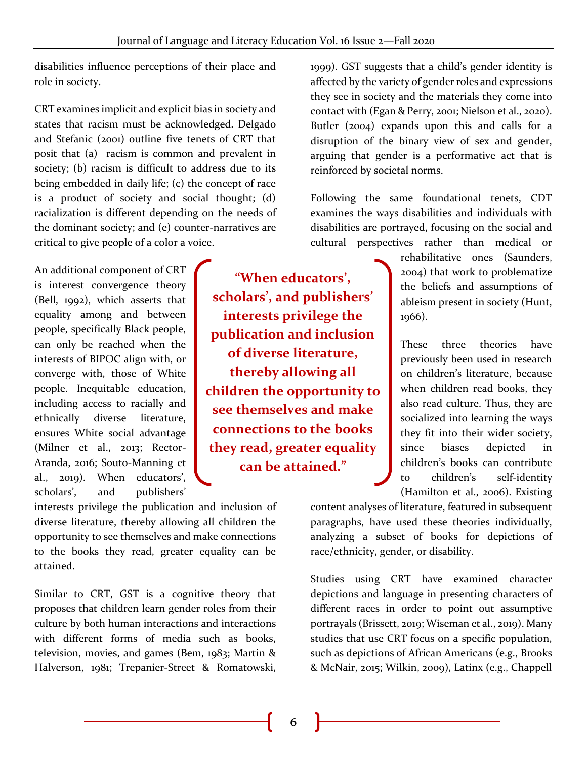disabilities influence perceptions of their place and role in society.

CRT examines implicit and explicit bias in society and states that racism must be acknowledged. Delgado and Stefanic (2001) outline five tenets of CRT that posit that (a) racism is common and prevalent in society; (b) racism is difficult to address due to its being embedded in daily life; (c) the concept of race is a product of society and social thought; (d) racialization is different depending on the needs of the dominant society; and (e) counter-narratives are critical to give people of a color a voice.

An additional component of CRT is interest convergence theory (Bell, 1992), which asserts that equality among and between people, specifically Black people, can only be reached when the interests of BIPOC align with, or converge with, those of White people. Inequitable education, including access to racially and ethnically diverse literature, ensures White social advantage (Milner et al., 2013; Rector-Aranda, 2016; Souto-Manning et al., 2019). When educators', scholars', and publishers'

**"When educators', scholars', and publishers' interests privilege the publication and inclusion of diverse literature, thereby allowing all children the opportunity to see themselves and make connections to the books they read, greater equality can be attained."**

interests privilege the publication and inclusion of diverse literature, thereby allowing all children the opportunity to see themselves and make connections to the books they read, greater equality can be attained.

Similar to CRT, GST is a cognitive theory that proposes that children learn gender roles from their culture by both human interactions and interactions with different forms of media such as books, television, movies, and games (Bem, 1983; Martin & Halverson, 1981; Trepanier-Street & Romatowski,

1999). GST suggests that a child's gender identity is affected by the variety of gender roles and expressions they see in society and the materials they come into contact with (Egan & Perry, 2001; Nielson et al., 2020). Butler (2004) expands upon this and calls for a disruption of the binary view of sex and gender, arguing that gender is a performative act that is reinforced by societal norms.

Following the same foundational tenets, CDT examines the ways disabilities and individuals with disabilities are portrayed, focusing on the social and cultural perspectives rather than medical or

> rehabilitative ones (Saunders, 2004) that work to problematize the beliefs and assumptions of ableism present in society (Hunt, 1966).

> These three theories have previously been used in research on children's literature, because when children read books, they also read culture. Thus, they are socialized into learning the ways they fit into their wider society, since biases depicted in children's books can contribute to children's self-identity (Hamilton et al., 2006). Existing

content analyses of literature, featured in subsequent paragraphs, have used these theories individually, analyzing a subset of books for depictions of race/ethnicity, gender, or disability.

Studies using CRT have examined character depictions and language in presenting characters of different races in order to point out assumptive portrayals (Brissett, 2019; Wiseman et al., 2019). Many studies that use CRT focus on a specific population, such as depictions of African Americans (e.g., Brooks & McNair, 2015; Wilkin, 2009), Latinx (e.g., Chappell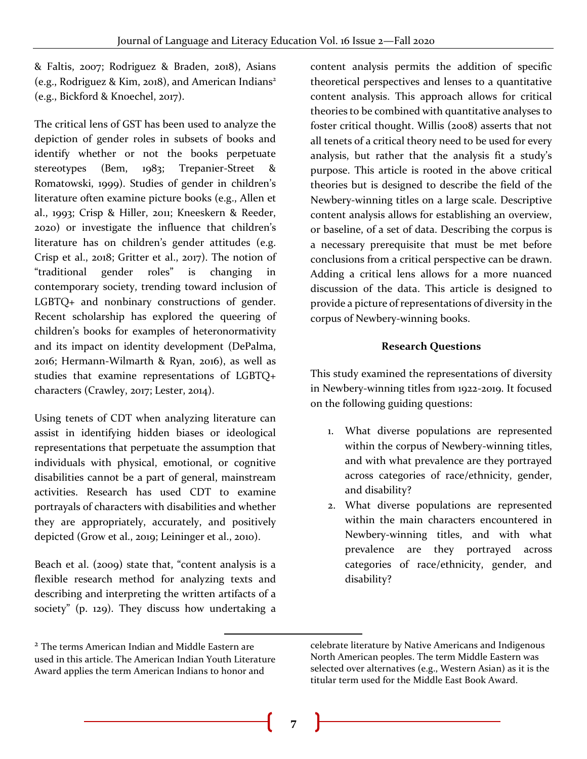& Faltis, 2007; Rodriguez & Braden, 2018), Asians (e.g., Rodriguez & Kim, 2018), and American Indians<sup>2</sup> (e.g., Bickford & Knoechel, 2017).

The critical lens of GST has been used to analyze the depiction of gender roles in subsets of books and identify whether or not the books perpetuate stereotypes (Bem, 1983; Trepanier-Street & Romatowski, 1999). Studies of gender in children's literature often examine picture books (e.g., Allen et al., 1993; Crisp & Hiller, 2011; Kneeskern & Reeder, 2020) or investigate the influence that children's literature has on children's gender attitudes (e.g. Crisp et al., 2018; Gritter et al., 2017). The notion of "traditional gender roles" is changing in contemporary society, trending toward inclusion of LGBTQ+ and nonbinary constructions of gender. Recent scholarship has explored the queering of children's books for examples of heteronormativity and its impact on identity development (DePalma, 2016; Hermann-Wilmarth & Ryan, 2016), as well as studies that examine representations of LGBTQ+ characters (Crawley, 2017; Lester, 2014).

Using tenets of CDT when analyzing literature can assist in identifying hidden biases or ideological representations that perpetuate the assumption that individuals with physical, emotional, or cognitive disabilities cannot be a part of general, mainstream activities. Research has used CDT to examine portrayals of characters with disabilities and whether they are appropriately, accurately, and positively depicted (Grow et al., 2019; Leininger et al., 2010).

Beach et al. (2009) state that, "content analysis is a flexible research method for analyzing texts and describing and interpreting the written artifacts of a society" (p. 129). They discuss how undertaking a

content analysis permits the addition of specific theoretical perspectives and lenses to a quantitative content analysis. This approach allows for critical theories to be combined with quantitative analyses to foster critical thought. Willis (2008) asserts that not all tenets of a critical theory need to be used for every analysis, but rather that the analysis fit a study's purpose. This article is rooted in the above critical theories but is designed to describe the field of the Newbery-winning titles on a large scale. Descriptive content analysis allows for establishing an overview, or baseline, of a set of data. Describing the corpus is a necessary prerequisite that must be met before conclusions from a critical perspective can be drawn. Adding a critical lens allows for a more nuanced discussion of the data. This article is designed to provide a picture of representations of diversity in the corpus of Newbery-winning books.

#### **Research Questions**

This study examined the representations of diversity in Newbery-winning titles from 1922-2019. It focused on the following guiding questions:

- 1. What diverse populations are represented within the corpus of Newbery-winning titles, and with what prevalence are they portrayed across categories of race/ethnicity, gender, and disability?
- 2. What diverse populations are represented within the main characters encountered in Newbery-winning titles, and with what prevalence are they portrayed across categories of race/ethnicity, gender, and disability?

<sup>2</sup> The terms American Indian and Middle Eastern are used in this article. The American Indian Youth Literature Award applies the term American Indians to honor and

celebrate literature by Native Americans and Indigenous North American peoples. The term Middle Eastern was selected over alternatives (e.g., Western Asian) as it is the titular term used for the Middle East Book Award.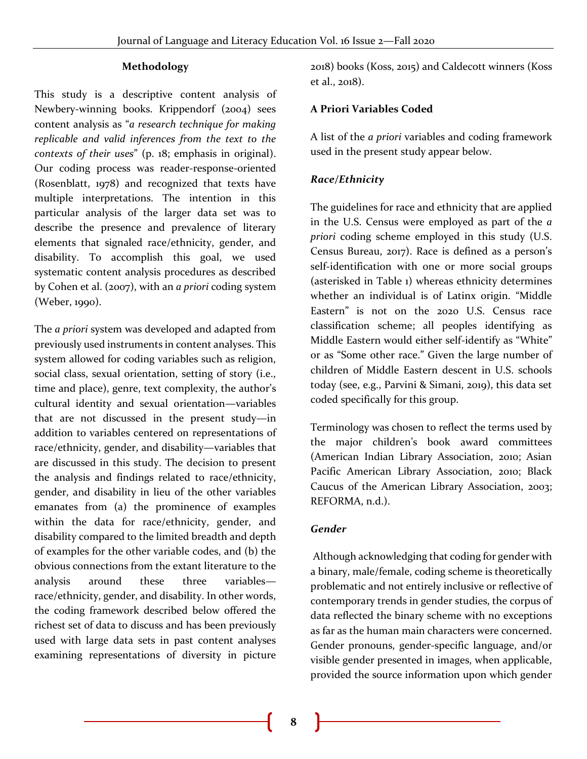#### **Methodology**

This study is a descriptive content analysis of Newbery-winning books. Krippendorf (2004) sees content analysis as "*a research technique for making replicable and valid inferences from the text to the contexts of their uses*" (p. 18; emphasis in original). Our coding process was reader-response-oriented (Rosenblatt, 1978) and recognized that texts have multiple interpretations. The intention in this particular analysis of the larger data set was to describe the presence and prevalence of literary elements that signaled race/ethnicity, gender, and disability. To accomplish this goal, we used systematic content analysis procedures as described by Cohen et al. (2007), with an *a priori* coding system (Weber, 1990).

The *a priori* system was developed and adapted from previously used instruments in content analyses. This system allowed for coding variables such as religion, social class, sexual orientation, setting of story (i.e., time and place), genre, text complexity, the author's cultural identity and sexual orientation—variables that are not discussed in the present study—in addition to variables centered on representations of race/ethnicity, gender, and disability—variables that are discussed in this study. The decision to present the analysis and findings related to race/ethnicity, gender, and disability in lieu of the other variables emanates from (a) the prominence of examples within the data for race/ethnicity, gender, and disability compared to the limited breadth and depth of examples for the other variable codes, and (b) the obvious connections from the extant literature to the analysis around these three variables race/ethnicity, gender, and disability. In other words, the coding framework described below offered the richest set of data to discuss and has been previously used with large data sets in past content analyses examining representations of diversity in picture

2018) books (Koss, 2015) and Caldecott winners (Koss et al., 2018).

#### **A Priori Variables Coded**

A list of the *a priori* variables and coding framework used in the present study appear below.

## *Race/Ethnicity*

The guidelines for race and ethnicity that are applied in the U.S. Census were employed as part of the *a priori* coding scheme employed in this study (U.S. Census Bureau, 2017). Race is defined as a person's self-identification with one or more social groups (asterisked in Table 1) whereas ethnicity determines whether an individual is of Latinx origin. "Middle Eastern" is not on the 2020 U.S. Census race classification scheme; all peoples identifying as Middle Eastern would either self-identify as "White" or as "Some other race." Given the large number of children of Middle Eastern descent in U.S. schools today (see, e.g., Parvini & Simani, 2019), this data set coded specifically for this group.

Terminology was chosen to reflect the terms used by the major children's book award committees (American Indian Library Association, 2010; Asian Pacific American Library Association, 2010; Black Caucus of the American Library Association, 2003; REFORMA, n.d.).

#### *Gender*

Although acknowledging that coding for gender with a binary, male/female, coding scheme is theoretically problematic and not entirely inclusive or reflective of contemporary trends in gender studies, the corpus of data reflected the binary scheme with no exceptions as far as the human main characters were concerned. Gender pronouns, gender-specific language, and/or visible gender presented in images, when applicable, provided the source information upon which gender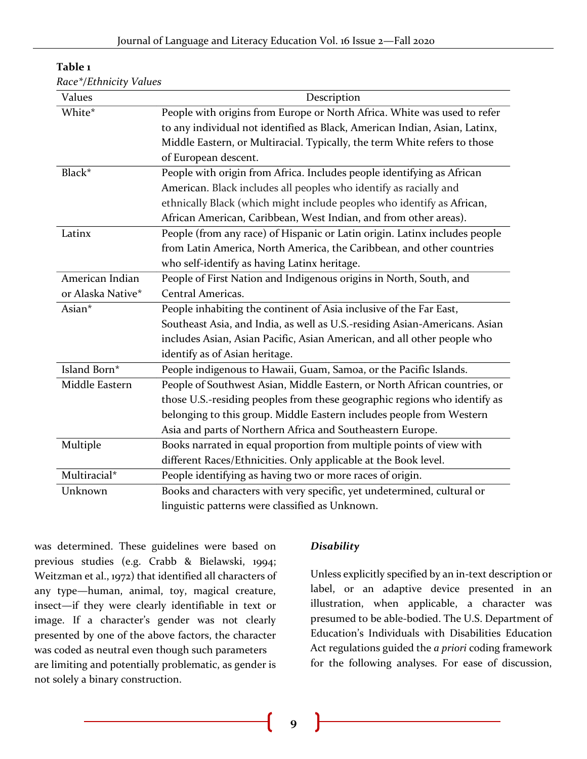| Values            | Description                                                                |
|-------------------|----------------------------------------------------------------------------|
| White*            | People with origins from Europe or North Africa. White was used to refer   |
|                   | to any individual not identified as Black, American Indian, Asian, Latinx, |
|                   | Middle Eastern, or Multiracial. Typically, the term White refers to those  |
|                   | of European descent.                                                       |
| Black*            | People with origin from Africa. Includes people identifying as African     |
|                   | American. Black includes all peoples who identify as racially and          |
|                   | ethnically Black (which might include peoples who identify as African,     |
|                   | African American, Caribbean, West Indian, and from other areas).           |
| Latinx            | People (from any race) of Hispanic or Latin origin. Latinx includes people |
|                   | from Latin America, North America, the Caribbean, and other countries      |
|                   | who self-identify as having Latinx heritage.                               |
| American Indian   | People of First Nation and Indigenous origins in North, South, and         |
| or Alaska Native* | Central Americas.                                                          |
| Asian*            | People inhabiting the continent of Asia inclusive of the Far East,         |
|                   | Southeast Asia, and India, as well as U.S.-residing Asian-Americans. Asian |
|                   | includes Asian, Asian Pacific, Asian American, and all other people who    |
|                   | identify as of Asian heritage.                                             |
| Island Born*      | People indigenous to Hawaii, Guam, Samoa, or the Pacific Islands.          |
| Middle Eastern    | People of Southwest Asian, Middle Eastern, or North African countries, or  |
|                   | those U.S.-residing peoples from these geographic regions who identify as  |
|                   | belonging to this group. Middle Eastern includes people from Western       |
|                   | Asia and parts of Northern Africa and Southeastern Europe.                 |
| Multiple          | Books narrated in equal proportion from multiple points of view with       |
|                   | different Races/Ethnicities. Only applicable at the Book level.            |
| Multiracial*      | People identifying as having two or more races of origin.                  |
| Unknown           | Books and characters with very specific, yet undetermined, cultural or     |
|                   | linguistic patterns were classified as Unknown.                            |

| Table |  |
|-------|--|
|-------|--|

*Race\*/Ethnicity Values*

was determined. These guidelines were based on previous studies (e.g. Crabb & Bielawski, 1994; Weitzman et al., 1972) that identified all characters of any type—human, animal, toy, magical creature, insect—if they were clearly identifiable in text or image. If a character's gender was not clearly presented by one of the above factors, the character was coded as neutral even though such parameters are limiting and potentially problematic, as gender is not solely a binary construction.

#### *Disability*

Unless explicitly specified by an in-text description or label, or an adaptive device presented in an illustration, when applicable, a character was presumed to be able-bodied. The U.S. Department of Education's Individuals with Disabilities Education Act regulations guided the *a priori* coding framework for the following analyses. For ease of discussion,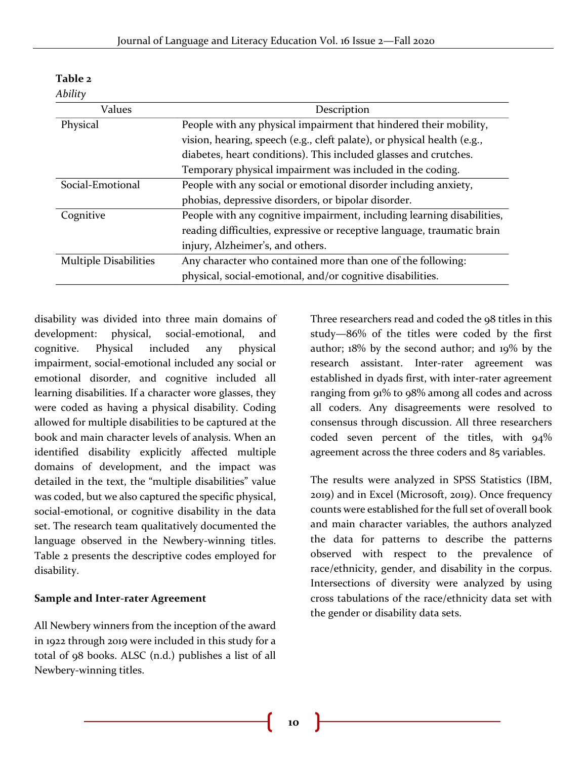| Values                       | Description                                                             |  |  |  |  |  |
|------------------------------|-------------------------------------------------------------------------|--|--|--|--|--|
| Physical                     | People with any physical impairment that hindered their mobility,       |  |  |  |  |  |
|                              | vision, hearing, speech (e.g., cleft palate), or physical health (e.g., |  |  |  |  |  |
|                              | diabetes, heart conditions). This included glasses and crutches.        |  |  |  |  |  |
|                              | Temporary physical impairment was included in the coding.               |  |  |  |  |  |
| Social-Emotional             | People with any social or emotional disorder including anxiety,         |  |  |  |  |  |
|                              | phobias, depressive disorders, or bipolar disorder.                     |  |  |  |  |  |
| Cognitive                    | People with any cognitive impairment, including learning disabilities,  |  |  |  |  |  |
|                              | reading difficulties, expressive or receptive language, traumatic brain |  |  |  |  |  |
|                              | injury, Alzheimer's, and others.                                        |  |  |  |  |  |
| <b>Multiple Disabilities</b> | Any character who contained more than one of the following:             |  |  |  |  |  |
|                              | physical, social-emotional, and/or cognitive disabilities.              |  |  |  |  |  |

## **Table 2**

#### *Ability*

disability was divided into three main domains of development: physical, social-emotional, and cognitive. Physical included any physical impairment, social-emotional included any social or emotional disorder, and cognitive included all learning disabilities. If a character wore glasses, they were coded as having a physical disability. Coding allowed for multiple disabilities to be captured at the book and main character levels of analysis. When an identified disability explicitly affected multiple domains of development, and the impact was detailed in the text, the "multiple disabilities" value was coded, but we also captured the specific physical, social-emotional, or cognitive disability in the data set. The research team qualitatively documented the language observed in the Newbery-winning titles. Table 2 presents the descriptive codes employed for disability.

#### **Sample and Inter-rater Agreement**

All Newbery winners from the inception of the award in 1922 through 2019 were included in this study for a total of 98 books. ALSC (n.d.) publishes a list of all Newbery-winning titles.

Three researchers read and coded the 98 titles in this study—86% of the titles were coded by the first author; 18% by the second author; and 19% by the research assistant. Inter-rater agreement was established in dyads first, with inter-rater agreement ranging from 91% to 98% among all codes and across all coders. Any disagreements were resolved to consensus through discussion. All three researchers coded seven percent of the titles, with 94% agreement across the three coders and 85 variables.

The results were analyzed in SPSS Statistics (IBM, 2019) and in Excel (Microsoft, 2019). Once frequency counts were established for the full set of overall book and main character variables, the authors analyzed the data for patterns to describe the patterns observed with respect to the prevalence of race/ethnicity, gender, and disability in the corpus. Intersections of diversity were analyzed by using cross tabulations of the race/ethnicity data set with the gender or disability data sets.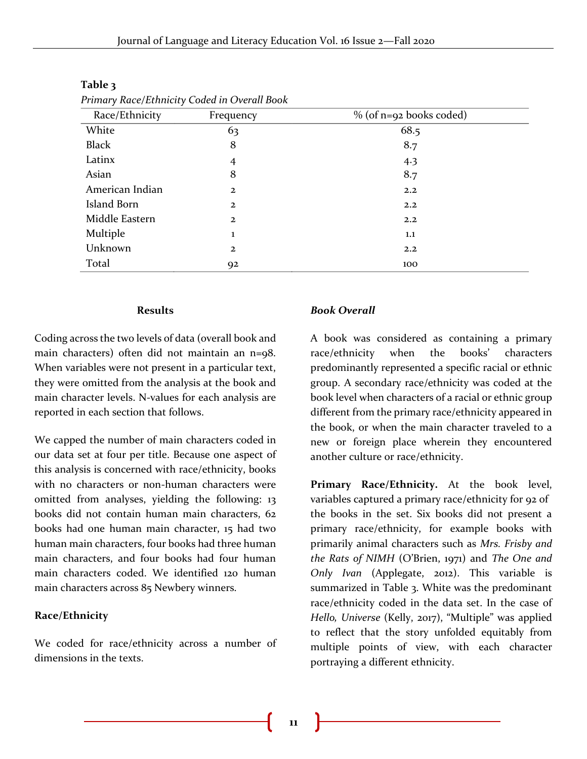| Race/Ethnicity  | . .<br>Frequency | $\%$ (of n=92 books coded) |
|-----------------|------------------|----------------------------|
| White           | 63               | 68.5                       |
| Black           | 8                | 8.7                        |
| Latinx          | $\overline{4}$   | 4.3                        |
| Asian           | 8                | 8.7                        |
| American Indian | $\overline{2}$   | 2.2                        |
| Island Born     | $\overline{2}$   | 2.2                        |
| Middle Eastern  | $\overline{2}$   | 2.2                        |
| Multiple        | ı                | 1.1                        |
| Unknown         | $\overline{2}$   | 2.2                        |
| Total           | 92               | 100                        |

#### **Table 3**

*Primary Race/Ethnicity Coded in Overall Book*

#### **Results**

Coding across the two levels of data (overall book and main characters) often did not maintain an n=98. When variables were not present in a particular text, they were omitted from the analysis at the book and main character levels. N-values for each analysis are reported in each section that follows.

We capped the number of main characters coded in our data set at four per title. Because one aspect of this analysis is concerned with race/ethnicity, books with no characters or non-human characters were omitted from analyses, yielding the following: 13 books did not contain human main characters, 62 books had one human main character, 15 had two human main characters, four books had three human main characters, and four books had four human main characters coded. We identified 120 human main characters across 85 Newbery winners.

#### **Race/Ethnicity**

We coded for race/ethnicity across a number of dimensions in the texts.

#### *Book Overall*

A book was considered as containing a primary race/ethnicity when the books' characters predominantly represented a specific racial or ethnic group. A secondary race/ethnicity was coded at the book level when characters of a racial or ethnic group different from the primary race/ethnicity appeared in the book, or when the main character traveled to a new or foreign place wherein they encountered another culture or race/ethnicity.

**Primary Race/Ethnicity.** At the book level, variables captured a primary race/ethnicity for 92 of the books in the set. Six books did not present a primary race/ethnicity, for example books with primarily animal characters such as *Mrs. Frisby and the Rats of NIMH* (O'Brien, 1971) and *The One and Only Ivan* (Applegate, 2012). This variable is summarized in Table 3. White was the predominant race/ethnicity coded in the data set. In the case of *Hello, Universe* (Kelly, 2017), "Multiple" was applied to reflect that the story unfolded equitably from multiple points of view, with each character portraying a different ethnicity.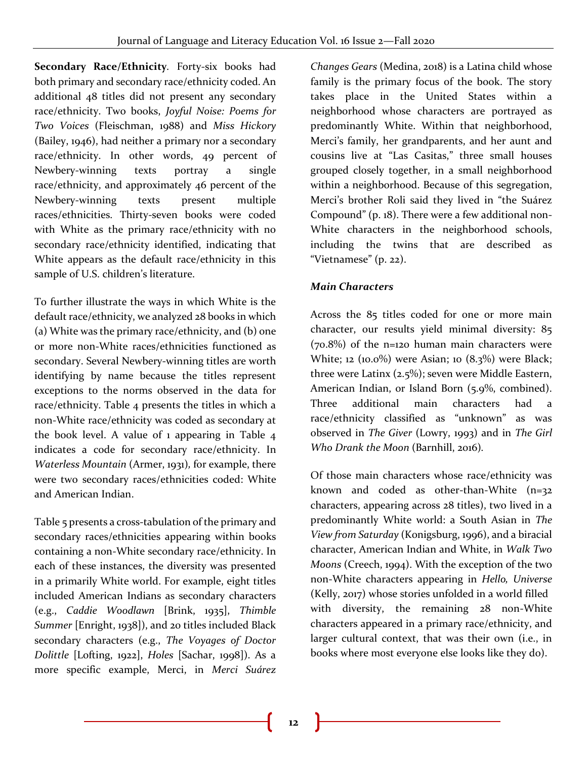**Secondary Race/Ethnicity***.* Forty-six books had both primary and secondary race/ethnicity coded. An additional 48 titles did not present any secondary race/ethnicity. Two books, *Joyful Noise: Poems for Two Voices* (Fleischman, 1988) and *Miss Hickory*  (Bailey, 1946), had neither a primary nor a secondary race/ethnicity. In other words, 49 percent of Newbery-winning texts portray a single race/ethnicity, and approximately 46 percent of the Newbery-winning texts present multiple races/ethnicities. Thirty-seven books were coded with White as the primary race/ethnicity with no secondary race/ethnicity identified, indicating that White appears as the default race/ethnicity in this sample of U.S. children's literature.

To further illustrate the ways in which White is the default race/ethnicity, we analyzed 28 books in which (a) White was the primary race/ethnicity, and (b) one or more non-White races/ethnicities functioned as secondary. Several Newbery-winning titles are worth identifying by name because the titles represent exceptions to the norms observed in the data for race/ethnicity. Table 4 presents the titles in which a non-White race/ethnicity was coded as secondary at the book level. A value of 1 appearing in Table 4 indicates a code for secondary race/ethnicity. In *Waterless Mountain* (Armer, 1931)*,* for example, there were two secondary races/ethnicities coded: White and American Indian.

Table 5 presents a cross-tabulation of the primary and secondary races/ethnicities appearing within books containing a non-White secondary race/ethnicity. In each of these instances, the diversity was presented in a primarily White world. For example, eight titles included American Indians as secondary characters (e.g., *Caddie Woodlawn* [Brink, 1935], *Thimble Summer* [Enright, 1938]), and 20 titles included Black secondary characters (e.g., *The Voyages of Doctor Dolittle* [Lofting, 1922], *Holes* [Sachar, 1998]). As a more specific example, Merci, in *Merci Suárez*  *Changes Gears* (Medina, 2018) is a Latina child whose family is the primary focus of the book. The story takes place in the United States within a neighborhood whose characters are portrayed as predominantly White. Within that neighborhood, Merci's family, her grandparents, and her aunt and cousins live at "Las Casitas," three small houses grouped closely together, in a small neighborhood within a neighborhood. Because of this segregation, Merci's brother Roli said they lived in "the Suárez Compound" (p. 18). There were a few additional non-White characters in the neighborhood schools, including the twins that are described as "Vietnamese" (p. 22).

## *Main Characters*

Across the 85 titles coded for one or more main character, our results yield minimal diversity: 85 (70.8%) of the n=120 human main characters were White; 12 (10.0%) were Asian; 10 (8.3%) were Black; three were Latinx (2.5%); seven were Middle Eastern, American Indian, or Island Born (5.9%, combined). Three additional main characters had a race/ethnicity classified as "unknown" as was observed in *The Giver* (Lowry, 1993) and in *The Girl Who Drank the Moon* (Barnhill, 2016)*.*

Of those main characters whose race/ethnicity was known and coded as other-than-White (n=32 characters, appearing across 28 titles), two lived in a predominantly White world: a South Asian in *The View from Saturday* (Konigsburg, 1996), and a biracial character, American Indian and White, in *Walk Two Moons* (Creech, 1994). With the exception of the two non-White characters appearing in *Hello, Universe* (Kelly, 2017) whose stories unfolded in a world filled with diversity, the remaining 28 non-White characters appeared in a primary race/ethnicity, and larger cultural context, that was their own (i.e., in books where most everyone else looks like they do).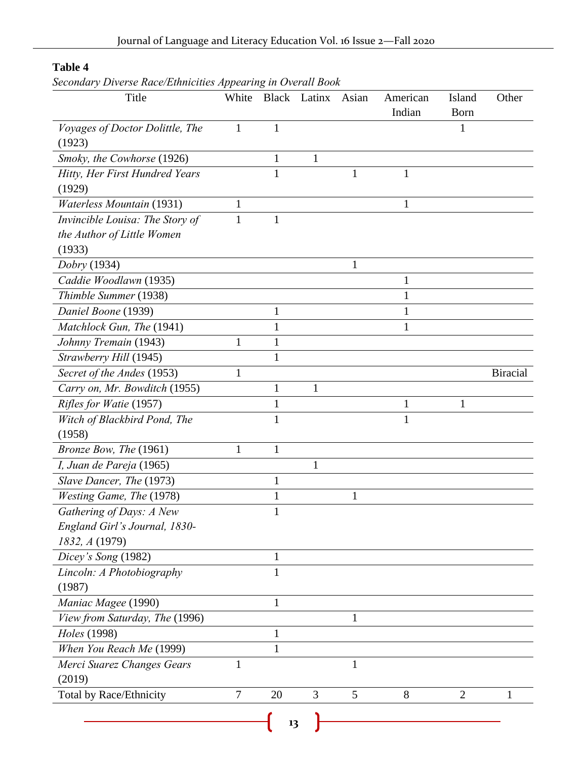## **Table 4**

*Secondary Diverse Race/Ethnicities Appearing in Overall Book*

| Title                            | White        |              | Black Latinx | Asian        | American | Island         | Other           |
|----------------------------------|--------------|--------------|--------------|--------------|----------|----------------|-----------------|
|                                  |              |              |              |              | Indian   | <b>Born</b>    |                 |
| Voyages of Doctor Dolittle, The  | $\mathbf{1}$ | $\mathbf{1}$ |              |              |          | 1              |                 |
| (1923)                           |              |              |              |              |          |                |                 |
| Smoky, the Cowhorse (1926)       |              | $\mathbf{1}$ | $\mathbf{1}$ |              |          |                |                 |
| Hitty, Her First Hundred Years   |              | $\mathbf{1}$ |              | 1            | 1        |                |                 |
| (1929)                           |              |              |              |              |          |                |                 |
| <b>Waterless Mountain (1931)</b> | 1            |              |              |              | 1        |                |                 |
| Invincible Louisa: The Story of  | 1            | $\mathbf{1}$ |              |              |          |                |                 |
| the Author of Little Women       |              |              |              |              |          |                |                 |
| (1933)                           |              |              |              |              |          |                |                 |
| Dobry (1934)                     |              |              |              | 1            |          |                |                 |
| Caddie Woodlawn (1935)           |              |              |              |              | 1        |                |                 |
| Thimble Summer (1938)            |              |              |              |              | 1        |                |                 |
| Daniel Boone (1939)              |              | 1            |              |              | 1        |                |                 |
| Matchlock Gun, The (1941)        |              | 1            |              |              | 1        |                |                 |
| Johnny Tremain (1943)            | 1            | $\mathbf{1}$ |              |              |          |                |                 |
| Strawberry Hill (1945)           |              | $\mathbf{1}$ |              |              |          |                |                 |
| Secret of the Andes (1953)       | 1            |              |              |              |          |                | <b>Biracial</b> |
| Carry on, Mr. Bowditch (1955)    |              | $\mathbf{1}$ | $\mathbf{1}$ |              |          |                |                 |
| Rifles for Watie (1957)          |              | $\mathbf{1}$ |              |              | 1        | 1              |                 |
| Witch of Blackbird Pond, The     |              | 1            |              |              | 1        |                |                 |
| (1958)                           |              |              |              |              |          |                |                 |
| Bronze Bow, The (1961)           | $\mathbf{1}$ | $\mathbf{1}$ |              |              |          |                |                 |
| I, Juan de Pareja (1965)         |              |              | $\mathbf{1}$ |              |          |                |                 |
| Slave Dancer, The (1973)         |              | $\mathbf{1}$ |              |              |          |                |                 |
| Westing Game, The (1978)         |              | $\mathbf{1}$ |              | 1            |          |                |                 |
| Gathering of Days: A New         |              | 1            |              |              |          |                |                 |
| England Girl's Journal, 1830-    |              |              |              |              |          |                |                 |
| 1832, A (1979)                   |              |              |              |              |          |                |                 |
| Dicey's Song (1982)              |              | 1            |              |              |          |                |                 |
| Lincoln: A Photobiography        |              | $\mathbf{1}$ |              |              |          |                |                 |
| (1987)                           |              |              |              |              |          |                |                 |
| Maniac Magee (1990)              |              | $\mathbf{1}$ |              |              |          |                |                 |
| View from Saturday, The (1996)   |              |              |              | 1            |          |                |                 |
| Holes (1998)                     |              | $\mathbf{1}$ |              |              |          |                |                 |
| When You Reach Me (1999)         |              | $\mathbf{1}$ |              |              |          |                |                 |
| Merci Suarez Changes Gears       | $\mathbf{1}$ |              |              | $\mathbf{1}$ |          |                |                 |
| (2019)                           |              |              |              |              |          |                |                 |
| Total by Race/Ethnicity          | $\tau$       | 20           | 3            | 5            | 8        | $\overline{2}$ | 1               |
|                                  |              |              |              |              |          |                |                 |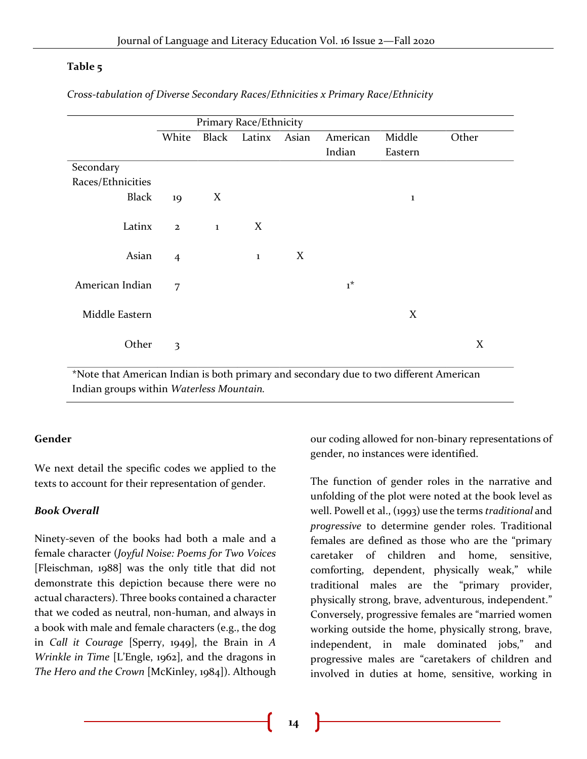#### **Table 5**

|                         | Primary Race/Ethnicity |         |       |          |         |       |  |  |
|-------------------------|------------------------|---------|-------|----------|---------|-------|--|--|
| White                   | Black                  | Latinx  | Asian | American | Middle  | Other |  |  |
|                         |                        |         |       | Indian   | Eastern |       |  |  |
|                         |                        |         |       |          |         |       |  |  |
|                         |                        |         |       |          |         |       |  |  |
| 19                      | X                      |         |       |          | 1       |       |  |  |
| $\mathbf{2}$            | $\bf{1}$               | X       |       |          |         |       |  |  |
| $\overline{4}$          |                        | $\bf 1$ | X     |          |         |       |  |  |
| 7                       |                        |         |       | $1^*$    |         |       |  |  |
|                         |                        |         |       |          | X       |       |  |  |
| $\overline{\mathbf{3}}$ |                        |         |       |          |         | X     |  |  |
|                         |                        |         |       |          |         |       |  |  |

*Cross-tabulation of Diverse Secondary Races/Ethnicities x Primary Race/Ethnicity*

'Note that American Indian is both primary and secondary due to two different American Indian groups within *Waterless Mountain.*

#### **Gender**

We next detail the specific codes we applied to the texts to account for their representation of gender.

#### *Book Overall*

Ninety-seven of the books had both a male and a female character (*Joyful Noise: Poems for Two Voices* [Fleischman, 1988] was the only title that did not demonstrate this depiction because there were no actual characters). Three books contained a character that we coded as neutral, non-human, and always in a book with male and female characters (e.g., the dog in *Call it Courage* [Sperry, 1949], the Brain in *A Wrinkle in Time* [L'Engle, 1962], and the dragons in *The Hero and the Crown* [McKinley, 1984]). Although

our coding allowed for non-binary representations of gender, no instances were identified.

The function of gender roles in the narrative and unfolding of the plot were noted at the book level as well. Powell et al., (1993) use the terms *traditional* and *progressive* to determine gender roles. Traditional females are defined as those who are the "primary caretaker of children and home, sensitive, comforting, dependent, physically weak," while traditional males are the "primary provider, physically strong, brave, adventurous, independent." Conversely, progressive females are "married women working outside the home, physically strong, brave, independent, in male dominated jobs," and progressive males are "caretakers of children and involved in duties at home, sensitive, working in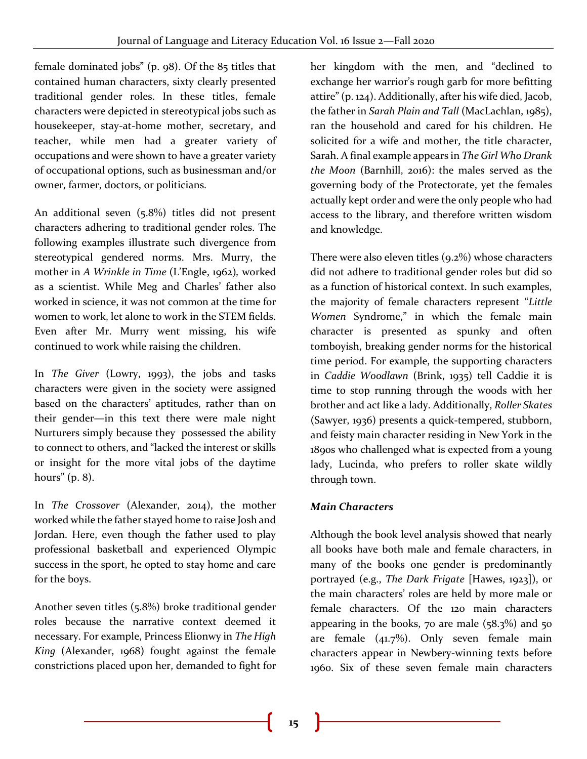female dominated jobs" (p. 98). Of the 85 titles that contained human characters, sixty clearly presented traditional gender roles. In these titles, female characters were depicted in stereotypical jobs such as housekeeper, stay-at-home mother, secretary, and teacher, while men had a greater variety of occupations and were shown to have a greater variety of occupational options, such as businessman and/or owner, farmer, doctors, or politicians.

An additional seven (5.8%) titles did not present characters adhering to traditional gender roles. The following examples illustrate such divergence from stereotypical gendered norms. Mrs. Murry, the mother in *A Wrinkle in Time* (L'Engle, 1962)*,* worked as a scientist. While Meg and Charles' father also worked in science, it was not common at the time for women to work, let alone to work in the STEM fields. Even after Mr. Murry went missing, his wife continued to work while raising the children.

In *The Giver* (Lowry, 1993), the jobs and tasks characters were given in the society were assigned based on the characters' aptitudes, rather than on their gender—in this text there were male night Nurturers simply because they possessed the ability to connect to others, and "lacked the interest or skills or insight for the more vital jobs of the daytime hours" (p. 8).

In *The Crossover* (Alexander, 2014), the mother worked while the father stayed home to raise Josh and Jordan. Here, even though the father used to play professional basketball and experienced Olympic success in the sport, he opted to stay home and care for the boys.

Another seven titles (5.8%) broke traditional gender roles because the narrative context deemed it necessary. For example, Princess Elionwy in *The High King* (Alexander, 1968) fought against the female constrictions placed upon her, demanded to fight for

her kingdom with the men, and "declined to exchange her warrior's rough garb for more befitting attire" (p. 124). Additionally, after his wife died, Jacob, the father in *Sarah Plain and Tall* (MacLachlan, 1985), ran the household and cared for his children. He solicited for a wife and mother, the title character, Sarah. A final example appears in *The Girl Who Drank the Moon* (Barnhill, 2016): the males served as the governing body of the Protectorate, yet the females actually kept order and were the only people who had access to the library, and therefore written wisdom and knowledge.

There were also eleven titles (9.2%) whose characters did not adhere to traditional gender roles but did so as a function of historical context. In such examples, the majority of female characters represent "*Little Women* Syndrome," in which the female main character is presented as spunky and often tomboyish, breaking gender norms for the historical time period. For example, the supporting characters in *Caddie Woodlawn* (Brink, 1935) tell Caddie it is time to stop running through the woods with her brother and act like a lady. Additionally, *Roller Skates*  (Sawyer, 1936) presents a quick-tempered, stubborn, and feisty main character residing in New York in the 1890s who challenged what is expected from a young lady, Lucinda, who prefers to roller skate wildly through town.

## *Main Characters*

Although the book level analysis showed that nearly all books have both male and female characters, in many of the books one gender is predominantly portrayed (e.g., *The Dark Frigate* [Hawes, 1923]), or the main characters' roles are held by more male or female characters. Of the 120 main characters appearing in the books, 70 are male  $(58.3\%)$  and 50 are female  $(41.7\%)$ . Only seven female main characters appear in Newbery-winning texts before 1960. Six of these seven female main characters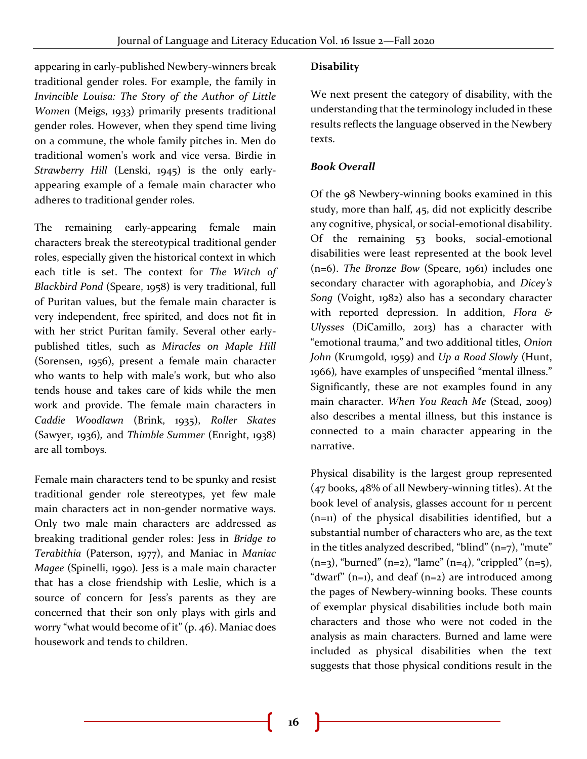appearing in early-published Newbery-winners break traditional gender roles. For example, the family in *Invincible Louisa: The Story of the Author of Little Women* (Meigs, 1933) primarily presents traditional gender roles. However, when they spend time living on a commune, the whole family pitches in. Men do traditional women's work and vice versa. Birdie in *Strawberry Hill* (Lenski, 1945) is the only earlyappearing example of a female main character who adheres to traditional gender roles.

The remaining early-appearing female main characters break the stereotypical traditional gender roles, especially given the historical context in which each title is set. The context for *The Witch of Blackbird Pond* (Speare, 1958) is very traditional, full of Puritan values, but the female main character is very independent, free spirited, and does not fit in with her strict Puritan family. Several other earlypublished titles, such as *Miracles on Maple Hill* (Sorensen, 1956), present a female main character who wants to help with male's work, but who also tends house and takes care of kids while the men work and provide. The female main characters in *Caddie Woodlawn* (Brink, 1935), *Roller Skates*  (Sawyer, 1936)*,* and *Thimble Summer* (Enright, 1938) are all tomboys*.*

Female main characters tend to be spunky and resist traditional gender role stereotypes, yet few male main characters act in non-gender normative ways. Only two male main characters are addressed as breaking traditional gender roles: Jess in *Bridge to Terabithia* (Paterson, 1977), and Maniac in *Maniac Magee* (Spinelli, 1990)*.* Jess is a male main character that has a close friendship with Leslie, which is a source of concern for Jess's parents as they are concerned that their son only plays with girls and worry "what would become of it" (p. 46). Maniac does housework and tends to children.

## **Disability**

We next present the category of disability, with the understanding that the terminology included in these results reflects the language observed in the Newbery texts.

#### *Book Overall*

Of the 98 Newbery-winning books examined in this study, more than half, 45, did not explicitly describe any cognitive, physical, or social-emotional disability. Of the remaining 53 books, social-emotional disabilities were least represented at the book level (n=6). *The Bronze Bow* (Speare, 1961) includes one secondary character with agoraphobia, and *Dicey's Song* (Voight, 1982) also has a secondary character with reported depression. In addition, *Flora & Ulysses* (DiCamillo, 2013) has a character with "emotional trauma," and two additional titles, *Onion John* (Krumgold, 1959) and *Up a Road Slowly* (Hunt, 1966)*,* have examples of unspecified "mental illness." Significantly, these are not examples found in any main character. *When You Reach Me* (Stead, 2009) also describes a mental illness, but this instance is connected to a main character appearing in the narrative.

Physical disability is the largest group represented (47 books, 48% of all Newbery-winning titles). At the book level of analysis, glasses account for 11 percent (n=11) of the physical disabilities identified, but a substantial number of characters who are, as the text in the titles analyzed described, "blind"  $(n=7)$ , "mute"  $(n=3)$ , "burned" (n=2), "lame" (n=4), "crippled" (n=5), "dwarf"  $(n=1)$ , and deaf  $(n=2)$  are introduced among the pages of Newbery-winning books. These counts of exemplar physical disabilities include both main characters and those who were not coded in the analysis as main characters. Burned and lame were included as physical disabilities when the text suggests that those physical conditions result in the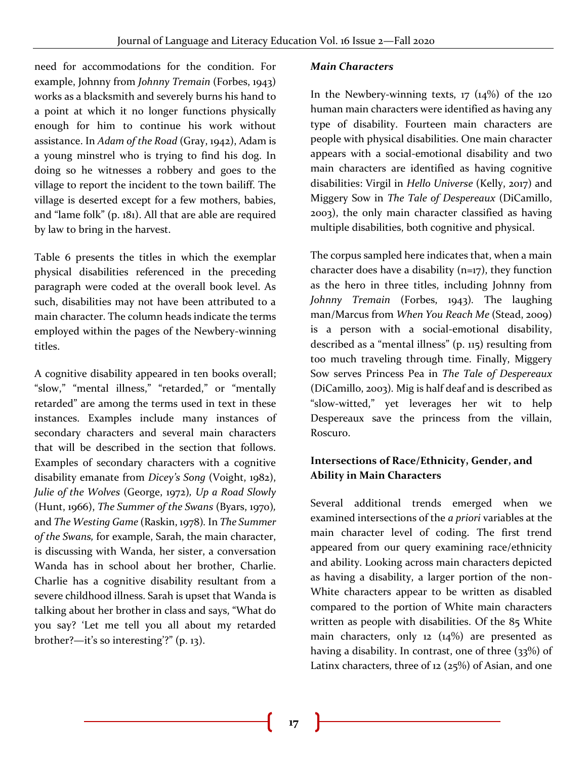need for accommodations for the condition. For example, Johnny from *Johnny Tremain* (Forbes, 1943) works as a blacksmith and severely burns his hand to a point at which it no longer functions physically enough for him to continue his work without assistance. In *Adam of the Road* (Gray, 1942), Adam is a young minstrel who is trying to find his dog. In doing so he witnesses a robbery and goes to the village to report the incident to the town bailiff. The village is deserted except for a few mothers, babies, and "lame folk" (p. 181). All that are able are required by law to bring in the harvest.

Table 6 presents the titles in which the exemplar physical disabilities referenced in the preceding paragraph were coded at the overall book level. As such, disabilities may not have been attributed to a main character. The column heads indicate the terms employed within the pages of the Newbery-winning titles.

A cognitive disability appeared in ten books overall; "slow," "mental illness," "retarded," or "mentally retarded" are among the terms used in text in these instances. Examples include many instances of secondary characters and several main characters that will be described in the section that follows. Examples of secondary characters with a cognitive disability emanate from *Dicey's Song* (Voight, 1982), *Julie of the Wolves* (George, 1972)*, Up a Road Slowly*  (Hunt, 1966), *The Summer of the Swans* (Byars, 1970)*,*  and *The Westing Game* (Raskin, 1978)*.* In *The Summer of the Swans,* for example, Sarah, the main character, is discussing with Wanda, her sister, a conversation Wanda has in school about her brother, Charlie. Charlie has a cognitive disability resultant from a severe childhood illness. Sarah is upset that Wanda is talking about her brother in class and says, "What do you say? 'Let me tell you all about my retarded brother?—it's so interesting'?" (p. 13).

#### *Main Characters*

In the Newbery-winning texts,  $17 \frac{14\%}{140}$  of the 120 human main characters were identified as having any type of disability. Fourteen main characters are people with physical disabilities. One main character appears with a social-emotional disability and two main characters are identified as having cognitive disabilities: Virgil in *Hello Universe* (Kelly, 2017) and Miggery Sow in *The Tale of Despereaux* (DiCamillo, 2003), the only main character classified as having multiple disabilities, both cognitive and physical.

The corpus sampled here indicates that, when a main character does have a disability  $(n=17)$ , they function as the hero in three titles, including Johnny from *Johnny Tremain* (Forbes, 1943)*.* The laughing man/Marcus from *When You Reach Me* (Stead, 2009) is a person with a social-emotional disability, described as a "mental illness" (p. 115) resulting from too much traveling through time. Finally, Miggery Sow serves Princess Pea in *The Tale of Despereaux*  (DiCamillo, 2003)*.* Mig is half deaf and is described as "slow-witted," yet leverages her wit to help Despereaux save the princess from the villain, Roscuro.

#### **Intersections of Race/Ethnicity, Gender, and Ability in Main Characters**

Several additional trends emerged when we examined intersections of the *a priori* variables at the main character level of coding. The first trend appeared from our query examining race/ethnicity and ability. Looking across main characters depicted as having a disability, a larger portion of the non-White characters appear to be written as disabled compared to the portion of White main characters written as people with disabilities. Of the 85 White main characters, only 12 (14%) are presented as having a disability. In contrast, one of three (33%) of Latinx characters, three of 12 (25%) of Asian, and one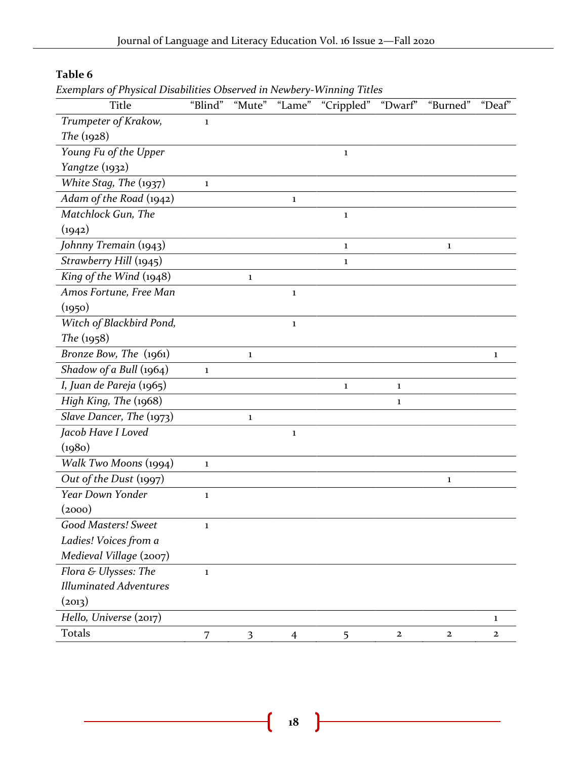## **Table 6**

*Exemplars of Physical Disabilities Observed in Newbery-Winning Titles*

| <b>Title</b>                  | "Blind"      | "Mute"       | "Lame"       | "Crippled"   | "Dwarf"      | "Burned"     | "Deaf"       |
|-------------------------------|--------------|--------------|--------------|--------------|--------------|--------------|--------------|
| Trumpeter of Krakow,          | $\mathbf{1}$ |              |              |              |              |              |              |
| The $(1928)$                  |              |              |              |              |              |              |              |
| Young Fu of the Upper         |              |              |              | $\mathbf{1}$ |              |              |              |
| Yangtze (1932)                |              |              |              |              |              |              |              |
| White Stag, The (1937)        | $\mathbf{1}$ |              |              |              |              |              |              |
| Adam of the Road (1942)       |              |              | $\mathbf{1}$ |              |              |              |              |
| Matchlock Gun, The            |              |              |              | $\mathbf{1}$ |              |              |              |
| (1942)                        |              |              |              |              |              |              |              |
| Johnny Tremain (1943)         |              |              |              | $\mathbf{1}$ |              | $\mathbf{1}$ |              |
| Strawberry Hill (1945)        |              |              |              | $\mathbf{1}$ |              |              |              |
| King of the Wind (1948)       |              | 1            |              |              |              |              |              |
| Amos Fortune, Free Man        |              |              | $\mathbf{1}$ |              |              |              |              |
| (1950)                        |              |              |              |              |              |              |              |
| Witch of Blackbird Pond,      |              |              | $\mathbf{1}$ |              |              |              |              |
| The (1958)                    |              |              |              |              |              |              |              |
| Bronze Bow, The (1961)        |              | $\mathbf{1}$ |              |              |              |              | $\mathbf{1}$ |
| Shadow of a Bull (1964)       | $\mathbf 1$  |              |              |              |              |              |              |
| I, Juan de Pareja (1965)      |              |              |              | $\mathbf{1}$ | 1            |              |              |
| High King, The (1968)         |              |              |              |              | $\mathbf{1}$ |              |              |
| Slave Dancer, The (1973)      |              | $\mathbf{1}$ |              |              |              |              |              |
| Jacob Have I Loved            |              |              | $\mathbf{1}$ |              |              |              |              |
| (1980)                        |              |              |              |              |              |              |              |
| Walk Two Moons (1994)         | $\mathbf{1}$ |              |              |              |              |              |              |
| Out of the Dust (1997)        |              |              |              |              |              | 1            |              |
| <b>Year Down Yonder</b>       | $\mathbf{1}$ |              |              |              |              |              |              |
| (2000)                        |              |              |              |              |              |              |              |
| Good Masters! Sweet           | 1            |              |              |              |              |              |              |
| Ladies! Voices from a         |              |              |              |              |              |              |              |
| Medieval Village (2007)       |              |              |              |              |              |              |              |
| Flora & Ulysses: The          | $\mathbf{1}$ |              |              |              |              |              |              |
| <b>Illuminated Adventures</b> |              |              |              |              |              |              |              |
| (2013)                        |              |              |              |              |              |              |              |
| Hello, Universe (2017)        |              |              |              |              |              |              | 1            |
| Totals                        | 7            | 3            | 4            | 5            | $\mathbf 2$  | $\mathbf{2}$ | $\mathbf{2}$ |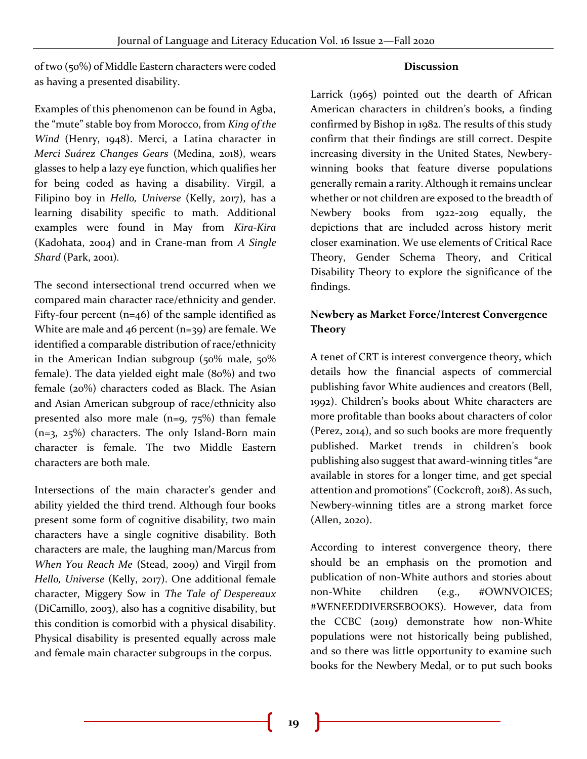of two (50%) of Middle Eastern characters were coded as having a presented disability.

#### **Discussion**

Examples of this phenomenon can be found in Agba, the "mute" stable boy from Morocco, from *King of the Wind* (Henry, 1948). Merci, a Latina character in *Merci Suárez Changes Gears* (Medina, 2018), wears glasses to help a lazy eye function, which qualifies her for being coded as having a disability. Virgil, a Filipino boy in *Hello, Universe* (Kelly, 2017), has a learning disability specific to math. Additional examples were found in May from *Kira-Kira* (Kadohata, 2004) and in Crane-man from *A Single Shard* (Park, 2001)*.*

The second intersectional trend occurred when we compared main character race/ethnicity and gender. Fifty-four percent  $(n=46)$  of the sample identified as White are male and 46 percent (n=39) are female. We identified a comparable distribution of race/ethnicity in the American Indian subgroup (50% male, 50% female). The data yielded eight male (80%) and two female (20%) characters coded as Black. The Asian and Asian American subgroup of race/ethnicity also presented also more male (n=9, 75%) than female (n=3, 25%) characters. The only Island-Born main character is female. The two Middle Eastern characters are both male.

Intersections of the main character's gender and ability yielded the third trend. Although four books present some form of cognitive disability, two main characters have a single cognitive disability. Both characters are male, the laughing man/Marcus from *When You Reach Me* (Stead, 2009) and Virgil from *Hello, Universe* (Kelly, 2017). One additional female character, Miggery Sow in *The Tale of Despereaux* (DiCamillo, 2003), also has a cognitive disability, but this condition is comorbid with a physical disability. Physical disability is presented equally across male and female main character subgroups in the corpus.

Larrick (1965) pointed out the dearth of African American characters in children's books, a finding confirmed by Bishop in 1982. The results of this study confirm that their findings are still correct. Despite increasing diversity in the United States, Newberywinning books that feature diverse populations generally remain a rarity. Although it remains unclear whether or not children are exposed to the breadth of Newbery books from 1922-2019 equally, the depictions that are included across history merit closer examination. We use elements of Critical Race Theory, Gender Schema Theory, and Critical Disability Theory to explore the significance of the findings.

## **Newbery as Market Force/Interest Convergence Theory**

A tenet of CRT is interest convergence theory, which details how the financial aspects of commercial publishing favor White audiences and creators (Bell, 1992). Children's books about White characters are more profitable than books about characters of color (Perez, 2014), and so such books are more frequently published. Market trends in children's book publishing also suggest that award-winning titles "are available in stores for a longer time, and get special attention and promotions" (Cockcroft, 2018). As such, Newbery-winning titles are a strong market force (Allen, 2020).

According to interest convergence theory, there should be an emphasis on the promotion and publication of non-White authors and stories about non-White children (e.g., #OWNVOICES; #WENEEDDIVERSEBOOKS). However, data from the CCBC (2019) demonstrate how non-White populations were not historically being published, and so there was little opportunity to examine such books for the Newbery Medal, or to put such books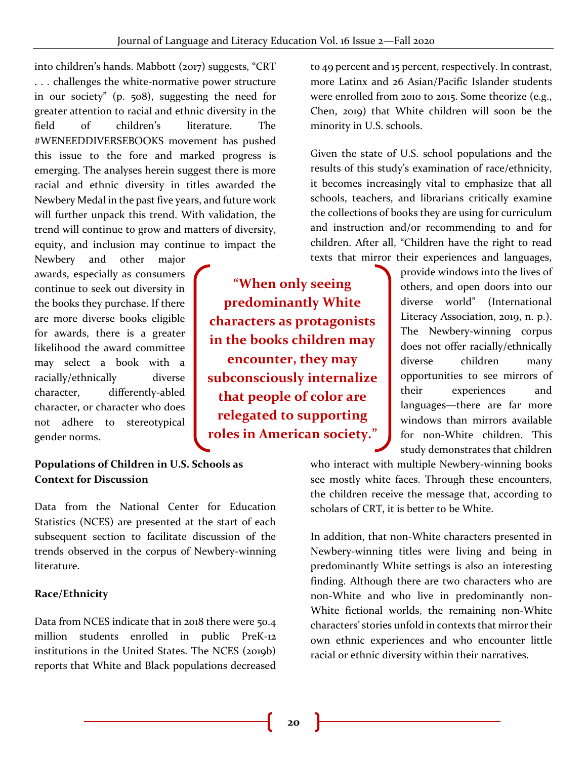**"When only seeing predominantly White characters as protagonists in the books children may** 

**encounter, they may subconsciously internalize that people of color are relegated to supporting roles in American society."**

into children's hands. Mabbott (2017) suggests, "CRT . . . challenges the white-normative power structure in our society" (p. 508), suggesting the need for greater attention to racial and ethnic diversity in the field of children's literature. The #WENEEDDIVERSEBOOKS movement has pushed this issue to the fore and marked progress is emerging. The analyses herein suggest there is more racial and ethnic diversity in titles awarded the Newbery Medal in the past five years, and future work will further unpack this trend. With validation, the trend will continue to grow and matters of diversity, equity, and inclusion may continue to impact the

Newbery and other major awards, especially as consumers continue to seek out diversity in the books they purchase. If there are more diverse books eligible for awards, there is a greater likelihood the award committee may select a book with a racially/ethnically diverse character, differently-abled character, or character who does not adhere to stereotypical gender norms.

## **Populations of Children in U.S. Schools as Context for Discussion**

Data from the National Center for Education Statistics (NCES) are presented at the start of each subsequent section to facilitate discussion of the trends observed in the corpus of Newbery-winning literature.

## **Race/Ethnicity**

Data from NCES indicate that in 2018 there were 50.4 million students enrolled in public PreK-12 institutions in the United States. The NCES (2019b) reports that White and Black populations decreased to 49 percent and 15 percent, respectively. In contrast, more Latinx and 26 Asian/Pacific Islander students were enrolled from 2010 to 2015. Some theorize (e.g., Chen, 2019) that White children will soon be the minority in U.S. schools.

Given the state of U.S. school populations and the results of this study's examination of race/ethnicity, it becomes increasingly vital to emphasize that all schools, teachers, and librarians critically examine the collections of books they are using for curriculum and instruction and/or recommending to and for children. After all, "Children have the right to read texts that mirror their experiences and languages,

> provide windows into the lives of others, and open doors into our diverse world" (International Literacy Association, 2019, n. p.). The Newbery-winning corpus does not offer racially/ethnically diverse children many opportunities to see mirrors of their experiences and languages—there are far more windows than mirrors available for non-White children. This study demonstrates that children

who interact with multiple Newbery-winning books see mostly white faces. Through these encounters, the children receive the message that, according to scholars of CRT, it is better to be White.

In addition, that non-White characters presented in Newbery-winning titles were living and being in predominantly White settings is also an interesting finding. Although there are two characters who are non-White and who live in predominantly non-White fictional worlds, the remaining non-White characters' stories unfold in contexts that mirror their own ethnic experiences and who encounter little racial or ethnic diversity within their narratives.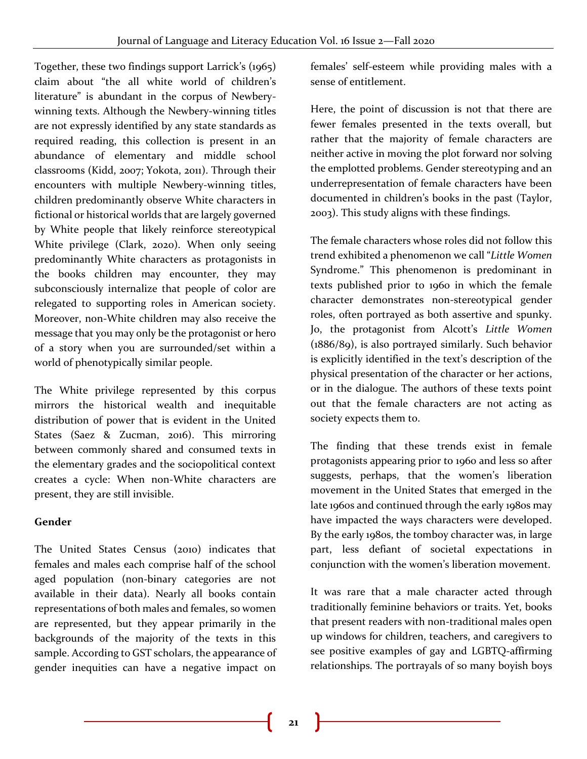Together, these two findings support Larrick's (1965) claim about "the all white world of children's literature" is abundant in the corpus of Newberywinning texts. Although the Newbery-winning titles are not expressly identified by any state standards as required reading, this collection is present in an abundance of elementary and middle school classrooms (Kidd, 2007; Yokota, 2011). Through their encounters with multiple Newbery-winning titles, children predominantly observe White characters in fictional or historical worlds that are largely governed by White people that likely reinforce stereotypical White privilege (Clark, 2020). When only seeing predominantly White characters as protagonists in the books children may encounter, they may subconsciously internalize that people of color are relegated to supporting roles in American society. Moreover, non-White children may also receive the message that you may only be the protagonist or hero of a story when you are surrounded/set within a world of phenotypically similar people.

The White privilege represented by this corpus mirrors the historical wealth and inequitable distribution of power that is evident in the United States (Saez & Zucman, 2016). This mirroring between commonly shared and consumed texts in the elementary grades and the sociopolitical context creates a cycle: When non-White characters are present, they are still invisible.

#### **Gender**

The United States Census (2010) indicates that females and males each comprise half of the school aged population (non-binary categories are not available in their data). Nearly all books contain representations of both males and females, so women are represented, but they appear primarily in the backgrounds of the majority of the texts in this sample. According to GST scholars, the appearance of gender inequities can have a negative impact on

females' self-esteem while providing males with a sense of entitlement.

Here, the point of discussion is not that there are fewer females presented in the texts overall, but rather that the majority of female characters are neither active in moving the plot forward nor solving the emplotted problems. Gender stereotyping and an underrepresentation of female characters have been documented in children's books in the past (Taylor, 2003). This study aligns with these findings.

The female characters whose roles did not follow this trend exhibited a phenomenon we call "*Little Women* Syndrome." This phenomenon is predominant in texts published prior to 1960 in which the female character demonstrates non-stereotypical gender roles, often portrayed as both assertive and spunky. Jo, the protagonist from Alcott's *Little Women*  (1886/89), is also portrayed similarly. Such behavior is explicitly identified in the text's description of the physical presentation of the character or her actions, or in the dialogue. The authors of these texts point out that the female characters are not acting as society expects them to.

The finding that these trends exist in female protagonists appearing prior to 1960 and less so after suggests, perhaps, that the women's liberation movement in the United States that emerged in the late 1960s and continued through the early 1980s may have impacted the ways characters were developed. By the early 1980s, the tomboy character was, in large part, less defiant of societal expectations in conjunction with the women's liberation movement.

It was rare that a male character acted through traditionally feminine behaviors or traits. Yet, books that present readers with non-traditional males open up windows for children, teachers, and caregivers to see positive examples of gay and LGBTQ-affirming relationships. The portrayals of so many boyish boys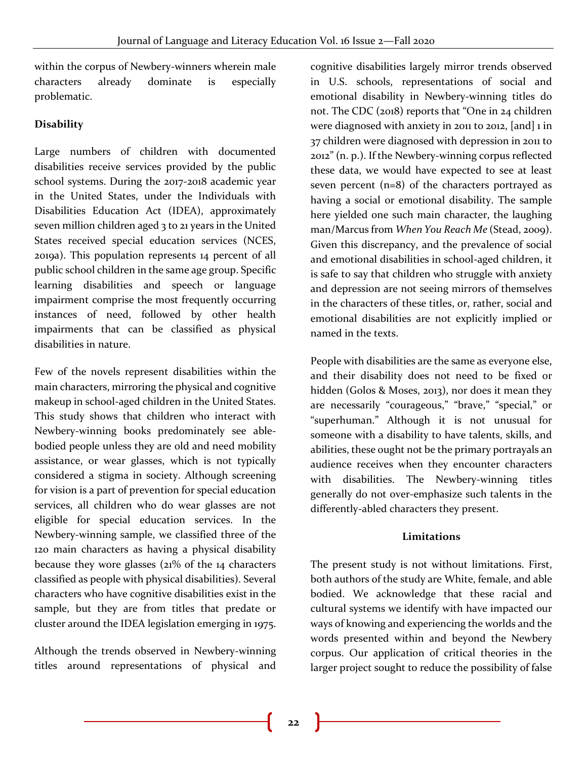within the corpus of Newbery-winners wherein male characters already dominate is especially problematic.

## **Disability**

Large numbers of children with documented disabilities receive services provided by the public school systems. During the 2017-2018 academic year in the United States, under the Individuals with Disabilities Education Act (IDEA), approximately seven million children aged 3 to 21 years in the United States received special education services (NCES, 2019a). This population represents 14 percent of all public school children in the same age group. Specific learning disabilities and speech or language impairment comprise the most frequently occurring instances of need, followed by other health impairments that can be classified as physical disabilities in nature.

Few of the novels represent disabilities within the main characters, mirroring the physical and cognitive makeup in school-aged children in the United States. This study shows that children who interact with Newbery-winning books predominately see ablebodied people unless they are old and need mobility assistance, or wear glasses, which is not typically considered a stigma in society. Although screening for vision is a part of prevention for special education services, all children who do wear glasses are not eligible for special education services. In the Newbery-winning sample, we classified three of the 120 main characters as having a physical disability because they wore glasses (21% of the 14 characters classified as people with physical disabilities). Several characters who have cognitive disabilities exist in the sample, but they are from titles that predate or cluster around the IDEA legislation emerging in 1975.

Although the trends observed in Newbery-winning titles around representations of physical and

cognitive disabilities largely mirror trends observed in U.S. schools, representations of social and emotional disability in Newbery-winning titles do not. The CDC (2018) reports that "One in 24 children were diagnosed with anxiety in 2011 to 2012, [and] 1 in 37 children were diagnosed with depression in 2011 to 2012" (n. p.). If the Newbery-winning corpus reflected these data, we would have expected to see at least seven percent (n=8) of the characters portrayed as having a social or emotional disability. The sample here yielded one such main character, the laughing man/Marcus from *When You Reach Me* (Stead, 2009). Given this discrepancy, and the prevalence of social and emotional disabilities in school-aged children, it is safe to say that children who struggle with anxiety and depression are not seeing mirrors of themselves in the characters of these titles, or, rather, social and emotional disabilities are not explicitly implied or named in the texts.

People with disabilities are the same as everyone else, and their disability does not need to be fixed or hidden (Golos & Moses, 2013), nor does it mean they are necessarily "courageous," "brave," "special," or "superhuman." Although it is not unusual for someone with a disability to have talents, skills, and abilities, these ought not be the primary portrayals an audience receives when they encounter characters with disabilities. The Newbery-winning titles generally do not over-emphasize such talents in the differently-abled characters they present.

#### **Limitations**

The present study is not without limitations. First, both authors of the study are White, female, and able bodied. We acknowledge that these racial and cultural systems we identify with have impacted our ways of knowing and experiencing the worlds and the words presented within and beyond the Newbery corpus. Our application of critical theories in the larger project sought to reduce the possibility of false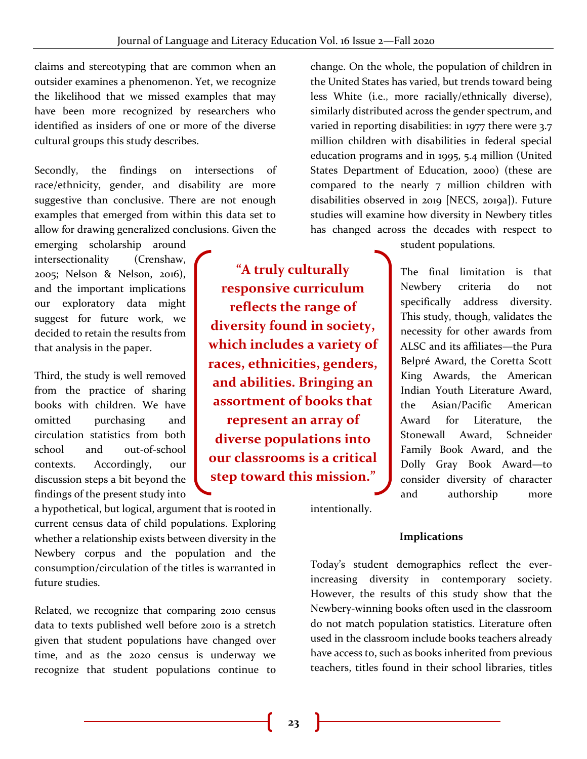claims and stereotyping that are common when an outsider examines a phenomenon. Yet, we recognize the likelihood that we missed examples that may have been more recognized by researchers who identified as insiders of one or more of the diverse cultural groups this study describes.

Secondly, the findings on intersections of race/ethnicity, gender, and disability are more suggestive than conclusive. There are not enough examples that emerged from within this data set to allow for drawing generalized conclusions. Given the

emerging scholarship around intersectionality (Crenshaw, 2005; Nelson & Nelson, 2016), and the important implications our exploratory data might suggest for future work, we decided to retain the results from that analysis in the paper.

Third, the study is well removed from the practice of sharing books with children. We have omitted purchasing and circulation statistics from both school and out-of-school contexts. Accordingly, our discussion steps a bit beyond the findings of the present study into

**"A truly culturally responsive curriculum reflects the range of diversity found in society, which includes a variety of races, ethnicities, genders, and abilities. Bringing an assortment of books that represent an array of diverse populations into our classrooms is a critical step toward this mission."**

change. On the whole, the population of children in the United States has varied, but trends toward being less White (i.e., more racially/ethnically diverse), similarly distributed across the gender spectrum, and varied in reporting disabilities: in 1977 there were 3.7 million children with disabilities in federal special education programs and in 1995, 5.4 million (United States Department of Education, 2000) (these are compared to the nearly 7 million children with disabilities observed in 2019 [NECS, 2019a]). Future studies will examine how diversity in Newbery titles has changed across the decades with respect to

student populations.

The final limitation is that Newbery criteria do not specifically address diversity. This study, though, validates the necessity for other awards from ALSC and its affiliates—the Pura Belpré Award, the Coretta Scott King Awards, the American Indian Youth Literature Award, the Asian/Pacific American Award for Literature, the Stonewall Award, Schneider Family Book Award, and the Dolly Gray Book Award—to consider diversity of character and authorship more

a hypothetical, but logical, argument that is rooted in current census data of child populations. Exploring whether a relationship exists between diversity in the Newbery corpus and the population and the consumption/circulation of the titles is warranted in future studies.

Related, we recognize that comparing 2010 census data to texts published well before 2010 is a stretch given that student populations have changed over time, and as the 2020 census is underway we recognize that student populations continue to intentionally.

#### **Implications**

Today's student demographics reflect the everincreasing diversity in contemporary society. However, the results of this study show that the Newbery-winning books often used in the classroom do not match population statistics. Literature often used in the classroom include books teachers already have access to, such as books inherited from previous teachers, titles found in their school libraries, titles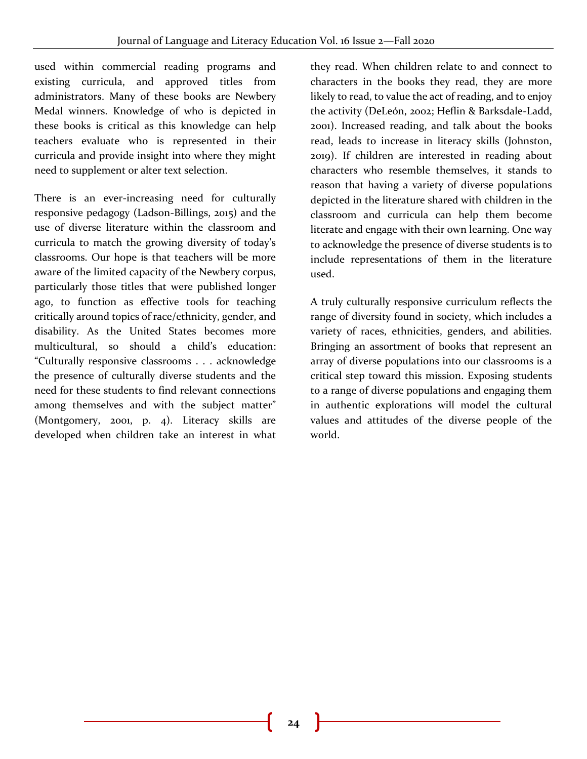used within commercial reading programs and existing curricula, and approved titles from administrators. Many of these books are Newbery Medal winners. Knowledge of who is depicted in these books is critical as this knowledge can help teachers evaluate who is represented in their curricula and provide insight into where they might need to supplement or alter text selection.

There is an ever-increasing need for culturally responsive pedagogy (Ladson-Billings, 2015) and the use of diverse literature within the classroom and curricula to match the growing diversity of today's classrooms. Our hope is that teachers will be more aware of the limited capacity of the Newbery corpus, particularly those titles that were published longer ago, to function as effective tools for teaching critically around topics of race/ethnicity, gender, and disability. As the United States becomes more multicultural, so should a child's education: "Culturally responsive classrooms . . . acknowledge the presence of culturally diverse students and the need for these students to find relevant connections among themselves and with the subject matter" (Montgomery, 2001, p. 4). Literacy skills are developed when children take an interest in what

they read. When children relate to and connect to characters in the books they read, they are more likely to read, to value the act of reading, and to enjoy the activity (DeLeón, 2002; Heflin & Barksdale-Ladd, 2001). Increased reading, and talk about the books read, leads to increase in literacy skills (Johnston, 2019). If children are interested in reading about characters who resemble themselves, it stands to reason that having a variety of diverse populations depicted in the literature shared with children in the classroom and curricula can help them become literate and engage with their own learning. One way to acknowledge the presence of diverse students is to include representations of them in the literature used.

A truly culturally responsive curriculum reflects the range of diversity found in society, which includes a variety of races, ethnicities, genders, and abilities. Bringing an assortment of books that represent an array of diverse populations into our classrooms is a critical step toward this mission. Exposing students to a range of diverse populations and engaging them in authentic explorations will model the cultural values and attitudes of the diverse people of the world.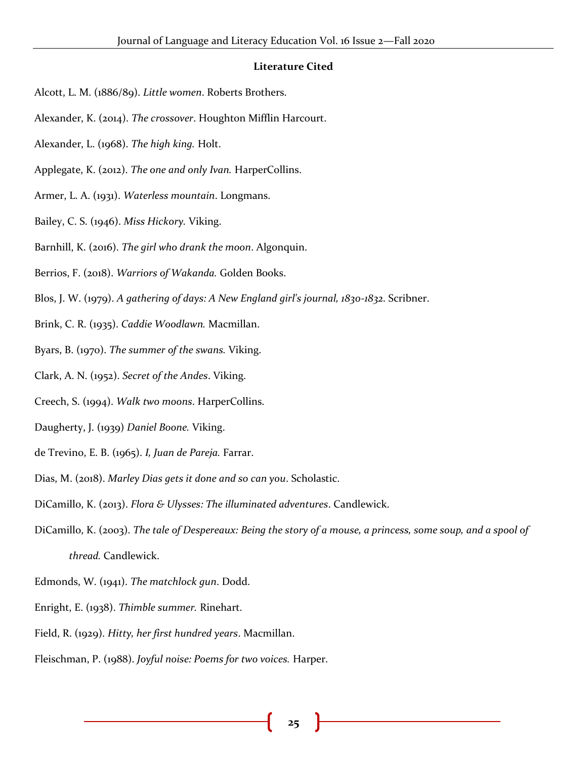#### **Literature Cited**

- Alcott, L. M. (1886/89). *Little women*. Roberts Brothers.
- Alexander, K. (2014). *The crossover*. Houghton Mifflin Harcourt.
- Alexander, L. (1968). *The high king.* Holt.
- Applegate, K. (2012). *The one and only Ivan.* HarperCollins.
- Armer, L. A. (1931). *Waterless mountain*. Longmans.
- Bailey, C. S. (1946). *Miss Hickory.* Viking.
- Barnhill, K. (2016). *The girl who drank the moon*. Algonquin.
- Berrios, F. (2018). *Warriors of Wakanda.* Golden Books.
- Blos, J. W. (1979). *A gathering of days: A New England girl's journal, 1830-1832*. Scribner.
- Brink, C. R. (1935). *Caddie Woodlawn.* Macmillan.
- Byars, B. (1970). *The summer of the swans.* Viking.
- Clark, A. N. (1952). *Secret of the Andes*. Viking.
- Creech, S. (1994). *Walk two moons*. HarperCollins.
- Daugherty, J. (1939) *Daniel Boone.* Viking.
- de Trevino, E. B. (1965). *I, Juan de Pareja.* Farrar.
- Dias, M. (2018). *Marley Dias gets it done and so can you*. Scholastic.
- DiCamillo, K. (2013). *Flora & Ulysses: The illuminated adventures*. Candlewick.
- DiCamillo, K. (2003). *The tale of Despereaux: Being the story of a mouse, a princess, some soup, and a spool of thread.* Candlewick.
- Edmonds, W. (1941). *The matchlock gun*. Dodd.
- Enright, E. (1938). *Thimble summer.* Rinehart.
- Field, R. (1929). *Hitty, her first hundred years*. Macmillan.
- Fleischman, P. (1988). *Joyful noise: Poems for two voices.* Harper.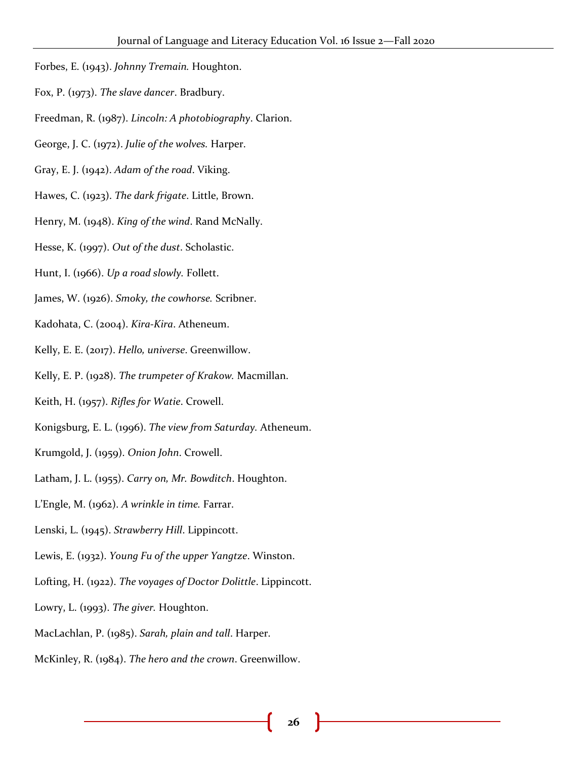- Forbes, E. (1943). *Johnny Tremain.* Houghton.
- Fox, P. (1973). *The slave dancer*. Bradbury.
- Freedman, R. (1987). *Lincoln: A photobiography*. Clarion.
- George, J. C. (1972). *Julie of the wolves.* Harper.
- Gray, E. J. (1942). *Adam of the road*. Viking.
- Hawes, C. (1923). *The dark frigate*. Little, Brown.
- Henry, M. (1948). *King of the wind*. Rand McNally.
- Hesse, K. (1997). *Out of the dust*. Scholastic.
- Hunt, I. (1966). *Up a road slowly.* Follett.
- James, W. (1926). *Smoky, the cowhorse.* Scribner.
- Kadohata, C. (2004). *Kira-Kira*. Atheneum.
- Kelly, E. E. (2017). *Hello, universe*. Greenwillow.
- Kelly, E. P. (1928). *The trumpeter of Krakow.* Macmillan.
- Keith, H. (1957). *Rifles for Watie*. Crowell.
- Konigsburg, E. L. (1996). *The view from Saturday.* Atheneum.
- Krumgold, J. (1959). *Onion John*. Crowell.
- Latham, J. L. (1955). *Carry on, Mr. Bowditch*. Houghton.
- L'Engle, M. (1962). *A wrinkle in time.* Farrar.
- Lenski, L. (1945). *Strawberry Hill*. Lippincott.
- Lewis, E. (1932). *Young Fu of the upper Yangtze*. Winston.
- Lofting, H. (1922). *The voyages of Doctor Dolittle*. Lippincott.
- Lowry, L. (1993). *The giver.* Houghton.
- MacLachlan, P. (1985). *Sarah, plain and tall*. Harper.
- McKinley, R. (1984). *The hero and the crown*. Greenwillow.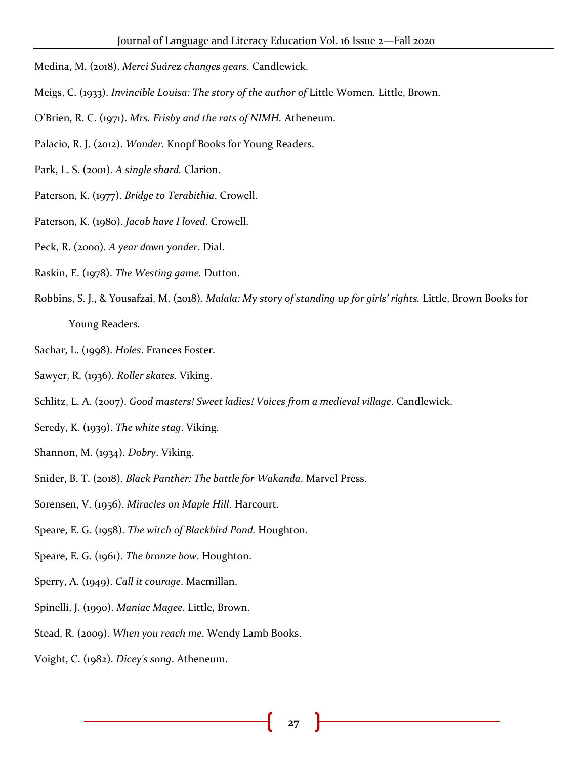- Medina, M. (2018). *Merci Suárez changes gears.* Candlewick.
- Meigs, C. (1933). *Invincible Louisa: The story of the author of* Little Women*.* Little, Brown.
- O'Brien, R. C. (1971). *Mrs. Frisby and the rats of NIMH.* Atheneum.
- Palacio, R. J. (2012). *Wonder.* Knopf Books for Young Readers.
- Park, L. S. (2001). *A single shard.* Clarion.
- Paterson, K. (1977). *Bridge to Terabithia*. Crowell.
- Paterson, K. (1980). *Jacob have I loved*. Crowell.
- Peck, R. (2000). *A year down yonder*. Dial.
- Raskin, E. (1978). *The Westing game.* Dutton.
- Robbins, S. J., & Yousafzai, M. (2018). *Malala: My story of standing up for girls' rights.* Little, Brown Books for Young Readers.
- Sachar, L. (1998). *Holes*. Frances Foster.
- Sawyer, R. (1936). *Roller skates.* Viking.
- Schlitz, L. A. (2007). *Good masters! Sweet ladies! Voices from a medieval village*. Candlewick.
- Seredy, K. (1939). *The white stag*. Viking.
- Shannon, M. (1934). *Dobry*. Viking.
- Snider, B. T. (2018). *Black Panther: The battle for Wakanda*. Marvel Press.
- Sorensen, V. (1956). *Miracles on Maple Hill*. Harcourt.
- Speare, E. G. (1958). *The witch of Blackbird Pond.* Houghton.
- Speare, E. G. (1961). *The bronze bow*. Houghton.
- Sperry, A. (1949). *Call it courage*. Macmillan.
- Spinelli, J. (1990). *Maniac Magee*. Little, Brown.
- Stead, R. (2009). *When you reach me*. Wendy Lamb Books.
- Voight, C. (1982). *Dicey's song*. Atheneum.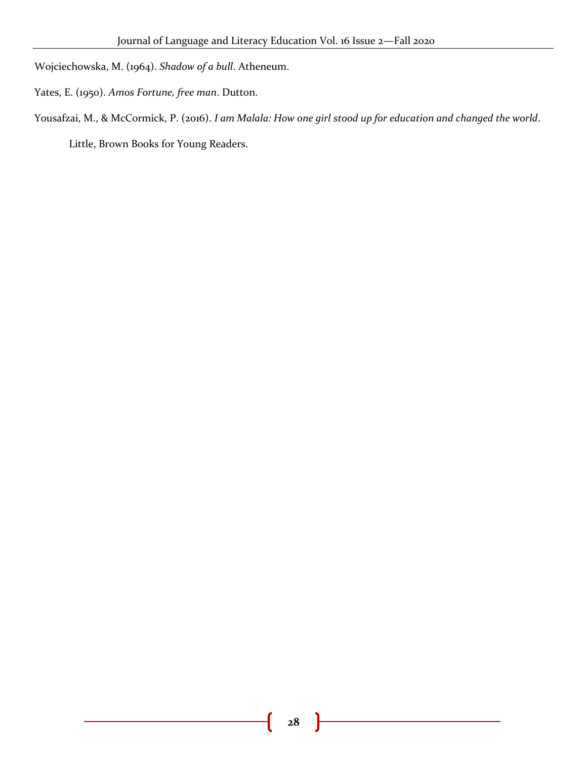Wojciechowska, M. (1964). *Shadow of a bull*. Atheneum.

Yates, E. (1950). *Amos Fortune, free man*. Dutton.

Yousafzai, M., & McCormick, P. (2016). *I am Malala: How one girl stood up for education and changed the world*.

Little, Brown Books for Young Readers.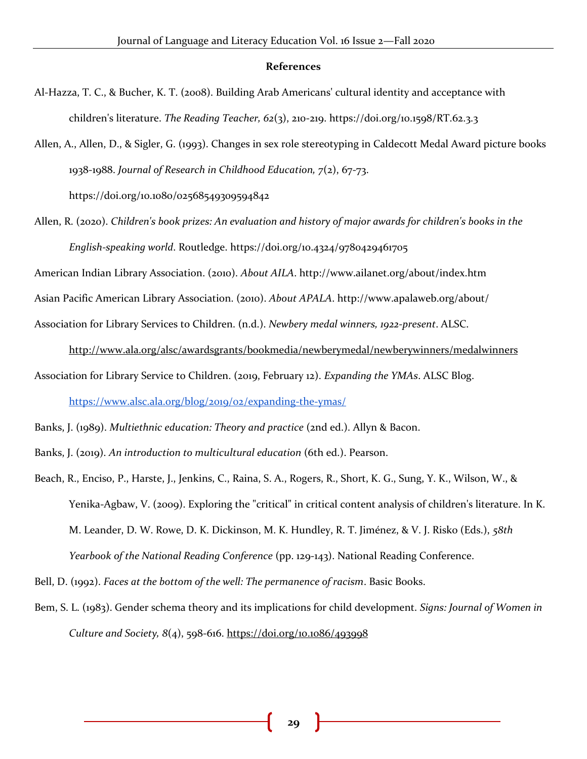#### **References**

- Al-Hazza, T. C., & Bucher, K. T. (2008). Building Arab Americans' cultural identity and acceptance with children's literature. *The Reading Teacher, 62*(3), 210-219. https://doi.org/10.1598/RT.62.3.3
- Allen, A., Allen, D., & Sigler, G. (1993). Changes in sex role stereotyping in Caldecott Medal Award picture books 1938-1988. *Journal of Research in Childhood Education, 7*(2), 67-73[.](https://doi.org/10.1080/02568549309594842) <https://doi.org/10.1080/02568549309594842>
- Allen, R. (2020). *Children's book prizes: An evaluation and history of major awards for children's books in the English-speaking world*. Routledge. https://doi.org/10.4324/9780429461705

American Indian Library Association. (2010). *About AILA*. http://www.ailanet.org/about/index.htm

Asian Pacific American Library Association. (2010). *About APALA*. http://www.apalaweb.org/about/

Association for Library Services to Children. (n.d.). *Newbery medal winners, 1922-present*. ALSC[.](http://www.ala.org/alsc/awardsgrants/bookmedia/newberymedal/newberywinners/medalwinners)

<http://www.ala.org/alsc/awardsgrants/bookmedia/newberymedal/newberywinners/medalwinners> Association for Library Service to Children. (2019, February 12). *Expanding the YMAs*. ALSC Blog. <https://www.alsc.ala.org/blog/2019/02/expanding-the-ymas/>

Banks, J. (1989). *Multiethnic education: Theory and practice* (2nd ed.). Allyn & Bacon.

- Banks, J. (2019). *An introduction to multicultural education* (6th ed.). Pearson.
- Beach, R., Enciso, P., Harste, J., Jenkins, C., Raina, S. A., Rogers, R., Short, K. G., Sung, Y. K., Wilson, W., & Yenika-Agbaw, V. (2009). Exploring the "critical" in critical content analysis of children's literature. In K. M. Leander, D. W. Rowe, D. K. Dickinson, M. K. Hundley, R. T. Jiménez, & V. J. Risko (Eds.), *58th Yearbook of the National Reading Conference* (pp. 129-143). National Reading Conference.

Bell, D. (1992). *Faces at the bottom of the well: The permanence of racism*. Basic Books.

Bem, S. L. (1983). Gender schema theory and its implications for child development. *Signs: Journal of Women in Culture and Society, 8*(4), 598-61[6.](https://doi.org/10.1086/493998) <https://doi.org/10.1086/493998>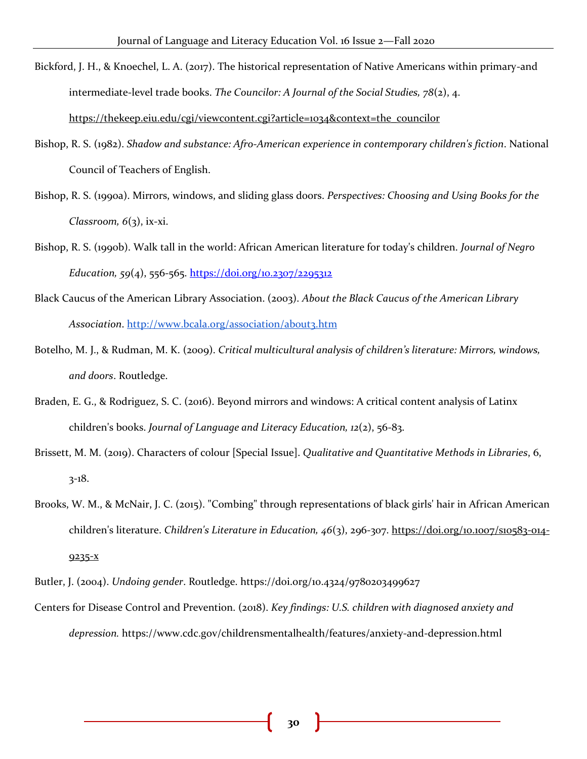- Bickford, J. H., & Knoechel, L. A. (2017). The historical representation of Native Americans within primary-and intermediate-level trade books. *The Councilor: A Journal of the Social Studies, 78*(2), 4[.](https://thekeep.eiu.edu/cgi/viewcontent.cgi?article=1034&context=the_councilor) [https://thekeep.eiu.edu/cgi/viewcontent.cgi?article=1034&context=the\\_councilor](https://thekeep.eiu.edu/cgi/viewcontent.cgi?article=1034&context=the_councilor)
- Bishop, R. S. (1982). *Shadow and substance: Afro-American experience in contemporary children's fiction*. National Council of Teachers of English.
- Bishop, R. S. (1990a). Mirrors, windows, and sliding glass doors. *Perspectives: Choosing and Using Books for the Classroom, 6*(3), ix-xi.
- Bishop, R. S. (1990b). Walk tall in the world: African American literature for today's children. *Journal of Negro Education, 59*(4), 556-565.<https://doi.org/10.2307/2295312>
- Black Caucus of the American Library Association. (2003). *About the Black Caucus of the American Library*  Association.<http://www.bcala.org/association/about3.htm>
- Botelho, M. J., & Rudman, M. K. (2009). *Critical multicultural analysis of children's literature: Mirrors, windows, and doors*. Routledge.
- Braden, E. G., & Rodriguez, S. C. (2016). Beyond mirrors and windows: A critical content analysis of Latinx children's books. *Journal of Language and Literacy Education, 12*(2), 56-83.
- Brissett, M. M. (2019). Characters of colour [Special Issue]. *Qualitative and Quantitative Methods in Libraries*, 6, 3-18.
- Brooks, W. M., & McNair, J. C. (2015). "Combing" through representations of black girls' hair in African American children's literature. *Children's Literature in Education, 46*(3), 296-30[7.](https://doi.org/10.1007/s10583-014-9235-x) [https://doi.org/10.1007/s10583-014-](https://doi.org/10.1007/s10583-014-9235-x) [9235-x](https://doi.org/10.1007/s10583-014-9235-x)

Centers for Disease Control and Prevention. (2018). *Key findings: U.S. children with diagnosed anxiety and depression.* https://www.cdc.gov/childrensmentalhealth/features/anxiety-and-depression.html

Butler, J. (2004). *Undoing gender*. Routledge. https://doi.org/10.4324/9780203499627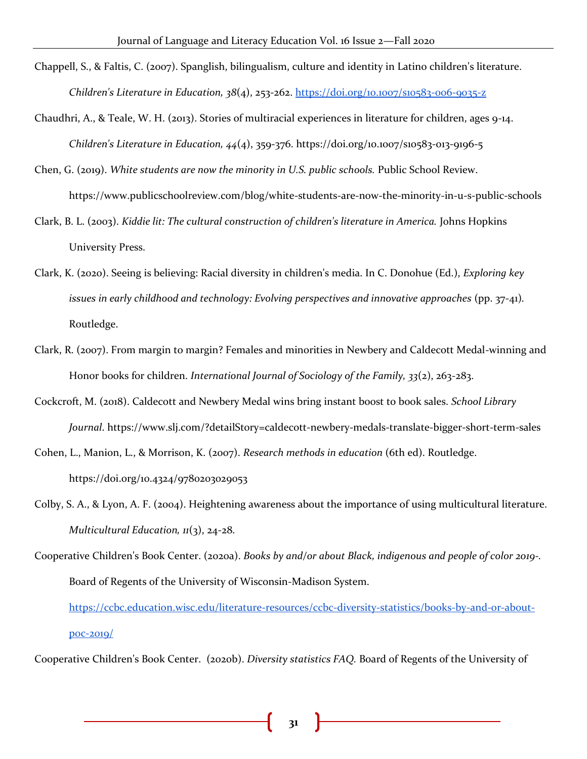- Chappell, S., & Faltis, C. (2007). Spanglish, bilingualism, culture and identity in Latino children's literature. *Children's Literature in Education, 38*(4), 253-262.<https://doi.org/10.1007/s10583-006-9035-z>
- Chaudhri, A., & Teale, W. H. (2013). Stories of multiracial experiences in literature for children, ages 9-14. *Children's Literature in Education, 44*(4), 359-376. https://doi.org/10.1007/s10583-013-9196-5
- Chen, G. (2019). *White students are now the minority in U.S. public schools.* Public School Review. https://www.publicschoolreview.com/blog/white-students-are-now-the-minority-in-u-s-public-schools
- Clark, B. L. (2003). *Kiddie lit: The cultural construction of children's literature in America.* Johns Hopkins University Press.
- Clark, K. (2020). Seeing is believing: Racial diversity in children's media. In C. Donohue (Ed.), *Exploring key issues in early childhood and technology: Evolving perspectives and innovative approaches* (pp. 37-41)*.* Routledge.
- Clark, R. (2007). From margin to margin? Females and minorities in Newbery and Caldecott Medal-winning and Honor books for children. *International Journal of Sociology of the Family, 33*(2), 263-283.
- Cockcroft, M. (2018). Caldecott and Newbery Medal wins bring instant boost to book sales. *School Library Journal*. https://www.slj.com/?detailStory=caldecott-newbery-medals-translate-bigger-short-term-sales

Cohen, L., Manion, L., & Morrison, K. (2007). *Research methods in education* (6th ed). Routledge[.](https://doi.org/10.4324/9780203029053) <https://doi.org/10.4324/9780203029053>

- Colby, S. A., & Lyon, A. F. (2004). Heightening awareness about the importance of using multicultural literature. *Multicultural Education, 11*(3), 24-28.
- Cooperative Children's Book Center. (2020a). *Books by and/or about Black, indigenous and people of color 2019-.*  Board of Regents of the University of Wisconsin-Madison System.

[https://ccbc.education.wisc.edu/literature-resources/ccbc-diversity-statistics/books-by-and-or-about](https://ccbc.education.wisc.edu/literature-resources/ccbc-diversity-statistics/books-by-and-or-about-poc-2019/)[poc-2019/](https://ccbc.education.wisc.edu/literature-resources/ccbc-diversity-statistics/books-by-and-or-about-poc-2019/)

Cooperative Children's Book Center. (2020b). *Diversity statistics FAQ.* Board of Regents of the University of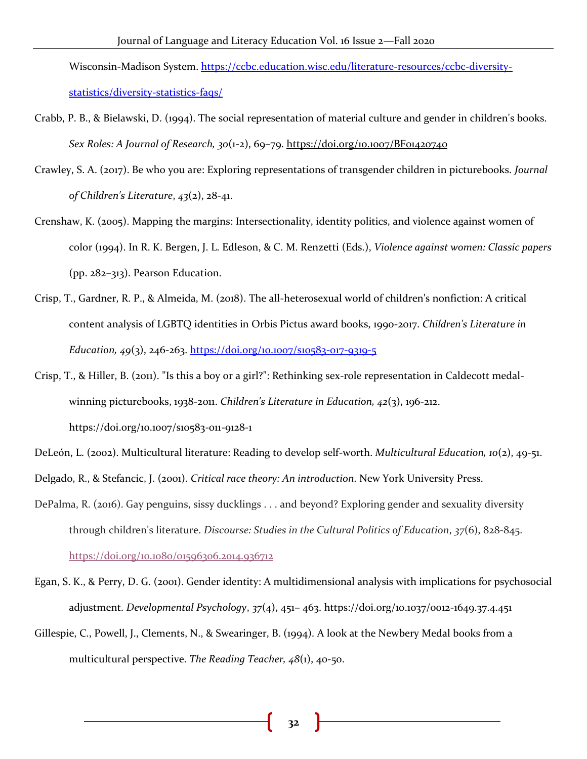Wisconsin-Madison System. [https://ccbc.education.wisc.edu/literature-resources/ccbc-diversity](https://ccbc.education.wisc.edu/literature-resources/ccbc-diversity-statistics/diversity-statistics-faqs/)[statistics/diversity-statistics-faqs/](https://ccbc.education.wisc.edu/literature-resources/ccbc-diversity-statistics/diversity-statistics-faqs/)

- Crabb, P. B., & Bielawski, D. (1994). The social representation of material culture and gender in children's books. *Sex Roles: A Journal of Research, 30*(1-2), 69–79.<https://doi.org/10.1007/BF01420740>
- Crawley, S. A. (2017). Be who you are: Exploring representations of transgender children in picturebooks. *Journal of Children's Literature*, *43*(2), 28-41.
- Crenshaw, K. (2005). Mapping the margins: Intersectionality, identity politics, and violence against women of color (1994). In R. K. Bergen, J. L. Edleson, & C. M. Renzetti (Eds.), *Violence against women: Classic papers* (pp. 282–313). Pearson Education.
- Crisp, T., Gardner, R. P., & Almeida, M. (2018). The all-heterosexual world of children's nonfiction: A critical content analysis of LGBTQ identities in Orbis Pictus award books, 1990-2017. *Children's Literature in Education, 49*(3), 246-263. <https://doi.org/10.1007/s10583-017-9319-5>
- Crisp, T., & Hiller, B. (2011). "Is this a boy or a girl?": Rethinking sex-role representation in Caldecott medalwinning picturebooks, 1938-2011. *Children's Literature in Education, 42*(3), 196-212. https://doi.org/10.1007/s10583-011-9128-1
- DeLeón, L. (2002). Multicultural literature: Reading to develop self-worth. *Multicultural Education, 10*(2), 49-51.
- Delgado, R., & Stefancic, J. (2001). *Critical race theory: An introduction*. New York University Press.
- DePalma, R. (2016). Gay penguins, sissy ducklings . . . and beyond? Exploring gender and sexuality diversity through children's literature. *Discourse: Studies in the Cultural Politics of Education*, *37*(6), 828-845[.](https://doi.org/10.1080/01596306.2014.936712) <https://doi.org/10.1080/01596306.2014.936712>
- Egan, S. K., & Perry, D. G. (2001). Gender identity: A multidimensional analysis with implications for psychosocial adjustment. *Developmental Psychology*, *37*(4), 451– 463. https://doi.org/10.1037/0012-1649.37.4.451
- Gillespie, C., Powell, J., Clements, N., & Swearinger, B. (1994). A look at the Newbery Medal books from a multicultural perspective. *The Reading Teacher, 48*(1), 40-50.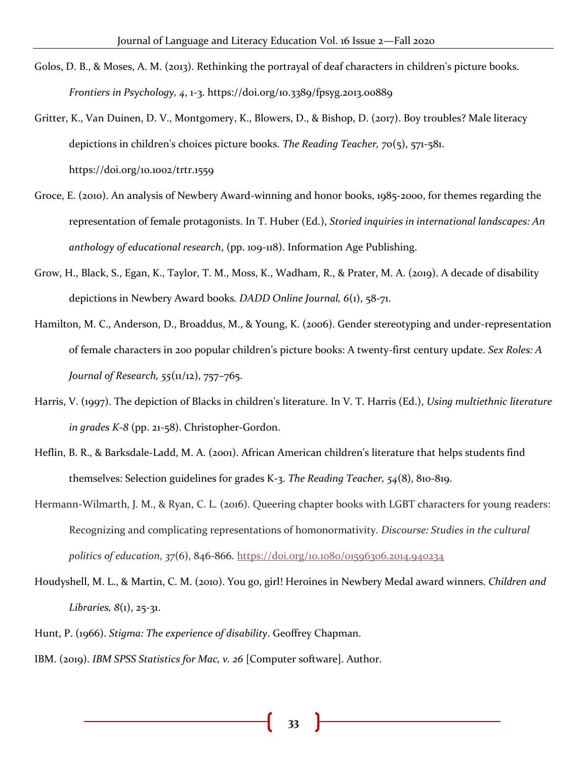- Golos, D. B., & Moses, A. M. (2013). Rethinking the portrayal of deaf characters in children's picture books. *Frontiers in Psychology, 4*, 1-3. <https://doi.org/10.3389/fpsyg.2013.00889>
- Gritter, K., Van Duinen, D. V., Montgomery, K., Blowers, D., & Bishop, D. (2017). Boy troubles? Male literacy depictions in children's choices picture books. *The Reading Teacher, 70*(5), 571-581[.](https://doi.org/10.1002/trtr.1559) <https://doi.org/10.1002/trtr.1559>
- Groce, E. (2010). An analysis of Newbery Award-winning and honor books, 1985-2000, for themes regarding the representation of female protagonists. In T. Huber (Ed.), *Storied inquiries in international landscapes: An anthology of educational research*, (pp. 109-118). Information Age Publishing.
- Grow, H., Black, S., Egan, K., Taylor, T. M., Moss, K., Wadham, R., & Prater, M. A. (2019). A decade of disability depictions in Newbery Award books*. DADD Online Journal, 6*(1), 58-71.
- Hamilton, M. C., Anderson, D., Broaddus, M., & Young, K. (2006). Gender stereotyping and under-representation of female characters in 200 popular children's picture books: A twenty-first century update. *Sex Roles: A Journal of Research, 55*(11/12), 757–765.
- Harris, V. (1997). The depiction of Blacks in children's literature. In V. T. Harris (Ed.), *Using multiethnic literature in grades K-8* (pp. 21-58). Christopher-Gordon.
- Heflin, B. R., & Barksdale-Ladd, M. A. (2001). African American children's literature that helps students find themselves: Selection guidelines for grades K-3. *The Reading Teacher, 54*(8), 810-819.
- Hermann-Wilmarth, J. M., & Ryan, C. L. (2016). Queering chapter books with LGBT characters for young readers: Recognizing and complicating representations of homonormativity. *Discourse: Studies in the cultural politics of education*, *37*(6), 846-866[.](https://doi.org/10.1080/01596306.2014.940234) <https://doi.org/10.1080/01596306.2014.940234>
- Houdyshell, M. L., & Martin, C. M. (2010). You go, girl! Heroines in Newbery Medal award winners. *Children and Libraries, 8*(1), 25-31.
- Hunt, P. (1966). *Stigma: The experience of disability*. Geoffrey Chapman.
- IBM. (2019). *IBM SPSS Statistics for Mac, v. 26* [Computer software]. Author.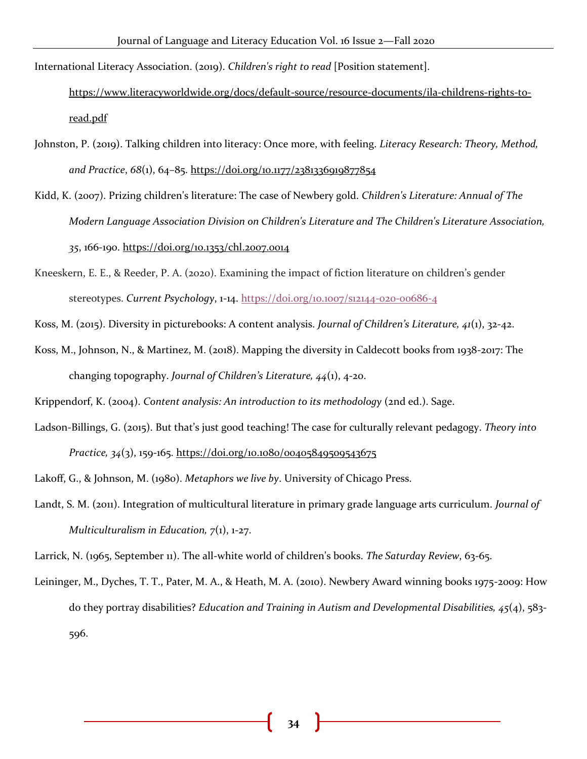International Literacy Association. (2019). *Children's right to read* [Position statement][.](https://www.literacyworldwide.org/docs/default-source/resource-documents/ila-childrens-rights-to-read.pdf)

[https://www.literacyworldwide.org/docs/default-source/resource-documents/ila-childrens-rights-to](https://www.literacyworldwide.org/docs/default-source/resource-documents/ila-childrens-rights-to-read.pdf)[read.pdf](https://www.literacyworldwide.org/docs/default-source/resource-documents/ila-childrens-rights-to-read.pdf)

- Johnston, P. (2019). Talking children into literacy: Once more, with feeling. *Literacy Research: Theory, Method, and Practice*, *68*(1), 64–85. <https://doi.org/10.1177/2381336919877854>
- Kidd, K. (2007). Prizing children's literature: The case of Newbery gold. *Children's Literature: Annual of The Modern Language Association Division on Children's Literature and The Children's Literature Association, 35*, 166-190[.](https://doi.org/10.1353/chl.2007.0014) <https://doi.org/10.1353/chl.2007.0014>
- Kneeskern, E. E., & Reeder, P. A. (2020). Examining the impact of fiction literature on children's gender stereotypes. *Current Psychology*, 1-1[4.](https://doi.org/10.1007/s12144-020-00686-4) <https://doi.org/10.1007/s12144-020-00686-4>
- Koss, M. (2015). Diversity in picturebooks: A content analysis. *Journal of Children's Literature, 41*(1), 32-42.
- Koss, M., Johnson, N., & Martinez, M. (2018). Mapping the diversity in Caldecott books from 1938-2017: The changing topography. *Journal of Children's Literature, 44*(1), 4-20.
- Krippendorf, K. (2004). *Content analysis: An introduction to its methodology* (2nd ed.). Sage.
- Ladson-Billings, G. (2015). But that's just good teaching! The case for culturally relevant pedagogy. *Theory into Practice, 34*(3), 159-165[.](https://doi.org/10.1080/00405849509543675) <https://doi.org/10.1080/00405849509543675>
- Lakoff, G., & Johnson, M. (1980). *Metaphors we live by*. University of Chicago Press.
- Landt, S. M. (2011). Integration of multicultural literature in primary grade language arts curriculum. *Journal of Multiculturalism in Education, 7*(1), 1-27.
- Larrick, N. (1965, September 11). The all-white world of children's books. *The Saturday Review*, 63-65.
- Leininger, M., Dyches, T. T., Pater, M. A., & Heath, M. A. (2010). Newbery Award winning books 1975-2009: How do they portray disabilities? *Education and Training in Autism and Developmental Disabilities, 45*(4), 583- 596.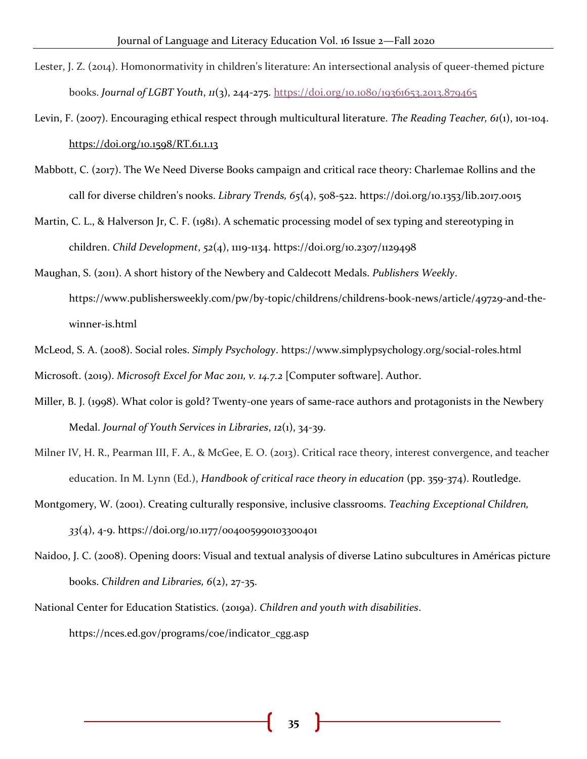- Lester, J. Z. (2014). Homonormativity in children's literature: An intersectional analysis of queer-themed picture books. *Journal of LGBT Youth*, *11*(3), 244-275[.](https://doi.org/10.1080/19361653.2013.879465) <https://doi.org/10.1080/19361653.2013.879465>
- Levin, F. (2007). Encouraging ethical respect through multicultural literature. *The Reading Teacher, 61*(1), 101-104[.](https://doi.org/10.1598/RT.61.1.13) <https://doi.org/10.1598/RT.61.1.13>
- Mabbott, C. (2017). The We Need Diverse Books campaign and critical race theory: Charlemae Rollins and the call for diverse children's nooks. *Library Trends, 65*(4), 508-522. <https://doi.org/10.1353/lib.2017.0015>
- Martin, C. L., & Halverson Jr, C. F. (1981). A schematic processing model of sex typing and stereotyping in children. *Child Development*, *52*(4), 1119-1134. https://doi.org/10.2307/1129498
- Maughan, S. (2011). A short history of the Newbery and Caldecott Medals. *Publishers Weekly*. https://www.publishersweekly.com/pw/by-topic/childrens/childrens-book-news/article/49729-and-thewinner-is.html
- McLeod, S. A. (2008). Social roles. *Simply Psychology*. https://www.simplypsychology.org/social-roles.html Microsoft. (2019). *Microsoft Excel for Mac 2011, v. 14.7.2* [Computer software]. Author.
- Miller, B. J. (1998). What color is gold? Twenty-one years of same-race authors and protagonists in the Newbery Medal. *Journal of Youth Services in Libraries*, *12*(1), 34-39.
- Milner IV, H. R., Pearman III, F. A., & McGee, E. O. (2013). Critical race theory, interest convergence, and teacher education. In M. Lynn (Ed.), *Handbook of critical race theory in education* (pp. 359-374). Routledge.
- Montgomery, W. (2001). Creating culturally responsive, inclusive classrooms. *Teaching Exceptional Children, 33*(4), 4-9. <https://doi.org/10.1177/004005990103300401>
- Naidoo, J. C. (2008). Opening doors: Visual and textual analysis of diverse Latino subcultures in Américas picture books. *Children and Libraries, 6*(2), 27-35.
- National Center for Education Statistics. (2019a). *Children and youth with disabilities*. https://nces.ed.gov/programs/coe/indicator\_cgg.asp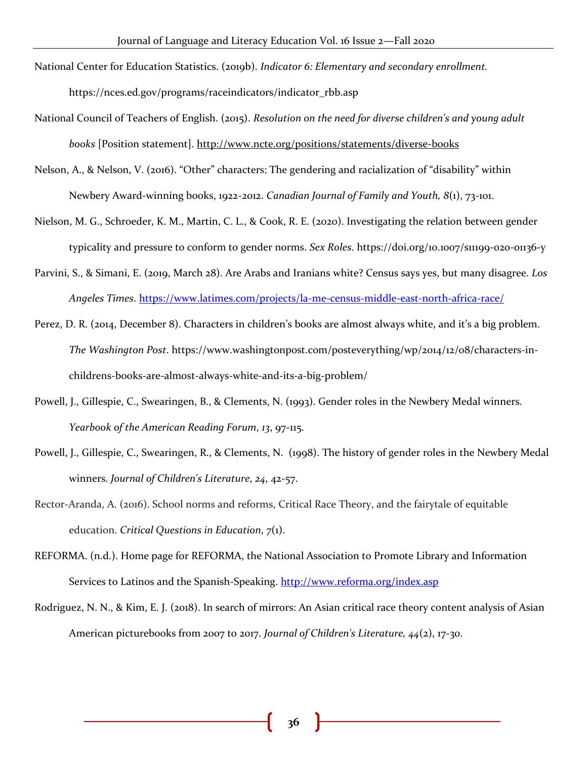- National Center for Education Statistics. (2019b). *Indicator 6: Elementary and secondary enrollment.* https://nces.ed.gov/programs/raceindicators/indicator\_rbb.asp
- National Council of Teachers of English. (2015). *Resolution on the need for diverse children's and young adult books* [Position statement]. <http://www.ncte.org/positions/statements/diverse-books>
- Nelson, A., & Nelson, V. (2016). "Other" characters: The gendering and racialization of "disability" within Newbery Award-winning books, 1922-2012. *Canadian Journal of Family and Youth, 8*(1), 73-101.
- Nielson, M. G., Schroeder, K. M., Martin, C. L., & Cook, R. E. (2020). Investigating the relation between gender typicality and pressure to conform to gender norms. *Sex Roles*. https://doi.org/10.1007/s11199-020-01136-y
- Parvini, S., & Simani, E. (2019, March 28). Are Arabs and Iranians white? Census says yes, but many disagre[e.](https://www.latimes.com/projects/la-me-census-middle-east-north-africa-race/) *Los Angeles Times*.<https://www.latimes.com/projects/la-me-census-middle-east-north-africa-race/>
- Perez, D. R. (2014, December 8). Characters in children's books are almost always white, and it's a big problem. *The Washington Post*. [https://www.washingtonpost.com/posteverything/wp/2014/12/08/characters-in](https://www.washingtonpost.com/posteverything/wp/2014/12/08/characters-in-childrens-books-are-almost-always-white-and-its-a-big-problem/)[childrens-books-are-almost-always-white-and-its-a-big-problem/](https://www.washingtonpost.com/posteverything/wp/2014/12/08/characters-in-childrens-books-are-almost-always-white-and-its-a-big-problem/)
- Powell, J., Gillespie, C., Swearingen, B., & Clements, N. (1993). Gender roles in the Newbery Medal winners. *Yearbook of the American Reading Forum*, *13*, 97-115.
- Powell, J., Gillespie, C., Swearingen, R., & Clements, N. (1998). The history of gender roles in the Newbery Medal winners. *Journal of Children's Literature*, *24*, 42-57.
- Rector-Aranda, A. (2016). School norms and reforms, Critical Race Theory, and the fairytale of equitable education. *Critical Questions in Education*, *7*(1).
- REFORMA. (n.d.). Home page for REFORMA, the National Association to Promote Library and Information Services to Latinos and the Spanish-Speaking.<http://www.reforma.org/index.asp>
- Rodriguez, N. N., & Kim, E. J. (2018). In search of mirrors: An Asian critical race theory content analysis of Asian American picturebooks from 2007 to 2017. *Journal of Children's Literature, 44*(2), 17-30.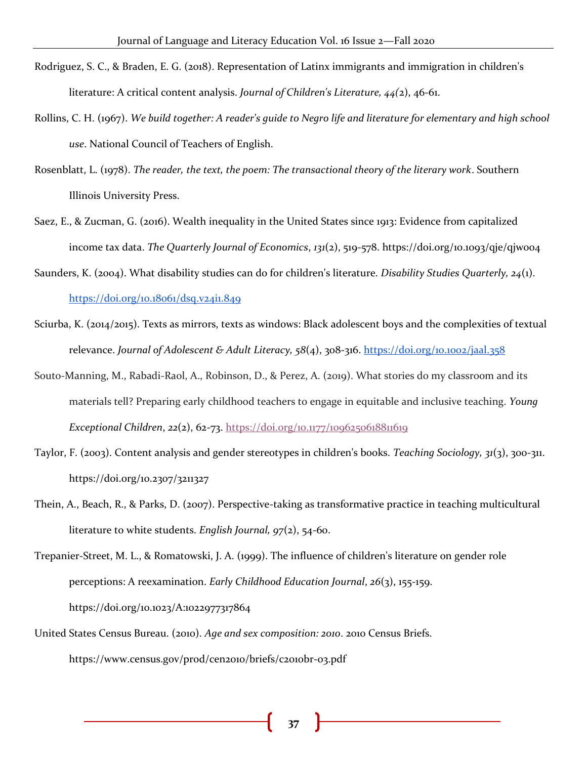- Rodriguez, S. C., & Braden, E. G. (2018). Representation of Latinx immigrants and immigration in children's literature: A critical content analysis. *Journal of Children's Literature, 44(*2), 46-61.
- Rollins, C. H. (1967). *We build together: A reader's guide to Negro life and literature for elementary and high school use*. National Council of Teachers of English.
- Rosenblatt, L. (1978). *The reader, the text, the poem: The transactional theory of the literary work*. Southern Illinois University Press.
- Saez, E., & Zucman, G. (2016). Wealth inequality in the United States since 1913: Evidence from capitalized income tax data. *The Quarterly Journal of Economics*, *131*(2), 519-578. https://doi.org/10.1093/qje/qjw004
- Saunders, K. (2004). What disability studies can do for children's literature. *Disability Studies Quarterly, 24*(1)[.](https://doi.org/10.18061/dsq.v24i1.849) <https://doi.org/10.18061/dsq.v24i1.849>
- Sciurba, K. (2014/2015). Texts as mirrors, texts as windows: Black adolescent boys and the complexities of textual relevance. *Journal of Adolescent & Adult Literacy, 58*(4), 308-316.<https://doi.org/10.1002/jaal.358>
- Souto-Manning, M., Rabadi-Raol, A., Robinson, D., & Perez, A. (2019). What stories do my classroom and its materials tell? Preparing early childhood teachers to engage in equitable and inclusive teaching. *Young Exceptional Children*, *22*(2), 62-73[.](https://doi.org/10.1177/1096250618811619) <https://doi.org/10.1177/1096250618811619>
- Taylor, F. (2003). Content analysis and gender stereotypes in children's books. *Teaching Sociology, 31*(3), 300-311[.](https://doi.org/10.2307/3211327) <https://doi.org/10.2307/3211327>
- Thein, A., Beach, R., & Parks, D. (2007). Perspective-taking as transformative practice in teaching multicultural literature to white students. *English Journal, 97*(2), 54-60.

Trepanier-Street, M. L., & Romatowski, J. A. (1999). The influence of children's literature on gender role perceptions: A reexamination. *Early Childhood Education Journal*, *26*(3), 155-159. https://doi.org/10.1023/A:1022977317864

United States Census Bureau. (2010). *Age and sex composition: 2010*. 2010 Census Briefs. https://www.census.gov/prod/cen2010/briefs/c2010br-03.pdf